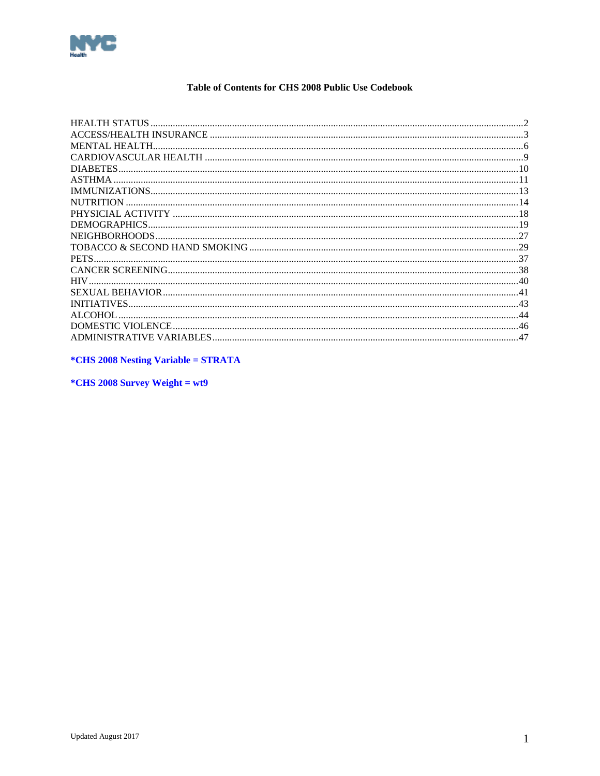<span id="page-0-0"></span>

## Table of Contents for CHS 2008 Public Use Codebook

| MENTAL HEALTH      |     |
|--------------------|-----|
|                    |     |
|                    |     |
|                    |     |
|                    |     |
| <b>NUTRITION</b>   |     |
|                    |     |
| DEMOGRAPHICS       |     |
|                    |     |
|                    |     |
|                    |     |
|                    |     |
| <b>HIV</b>         |     |
|                    |     |
| <b>INITIATIVES</b> |     |
| ALCOHOL            |     |
|                    |     |
|                    | .47 |
|                    |     |

*\*CHS 2008 Nesting Variable = STRATA* 

\*CHS 2008 Survey Weight = wt9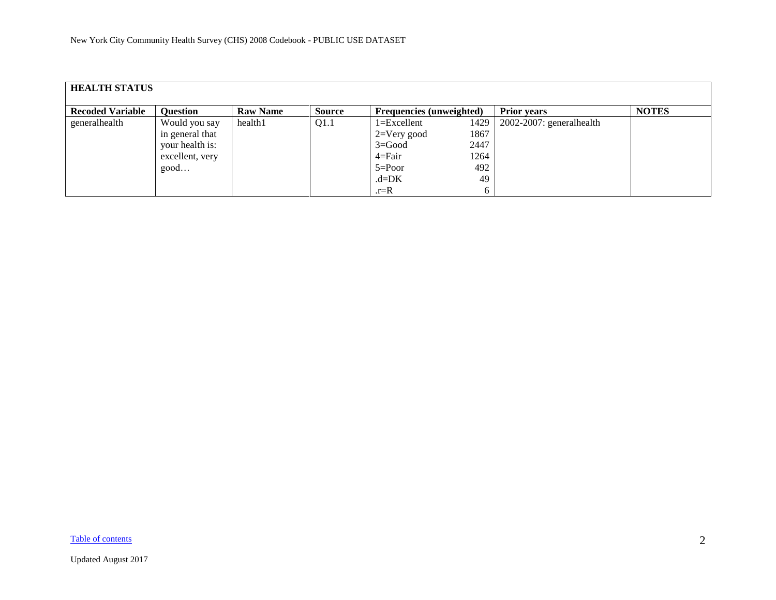<span id="page-1-0"></span>

| <b>HEALTH STATUS</b>    |                                                                                |                 |               |                                                                                                |                                           |                          |              |  |  |  |
|-------------------------|--------------------------------------------------------------------------------|-----------------|---------------|------------------------------------------------------------------------------------------------|-------------------------------------------|--------------------------|--------------|--|--|--|
| <b>Recoded Variable</b> | <b>Question</b>                                                                | <b>Raw Name</b> | <b>Source</b> | <b>Frequencies</b> (unweighted)                                                                |                                           | <b>Prior years</b>       | <b>NOTES</b> |  |  |  |
| generalhealth           | Would you say<br>in general that<br>your health is:<br>excellent, very<br>good | health1         | Q1.1          | $1 = Excellent$<br>$2=V$ ery good<br>$3 = Good$<br>$4 = Fair$<br>$5 = Poor$<br>$d=DK$<br>$r=R$ | 1429<br>1867<br>2447<br>1264<br>492<br>49 | 2002-2007: generalhealth |              |  |  |  |

[Table of contents](#page-0-0)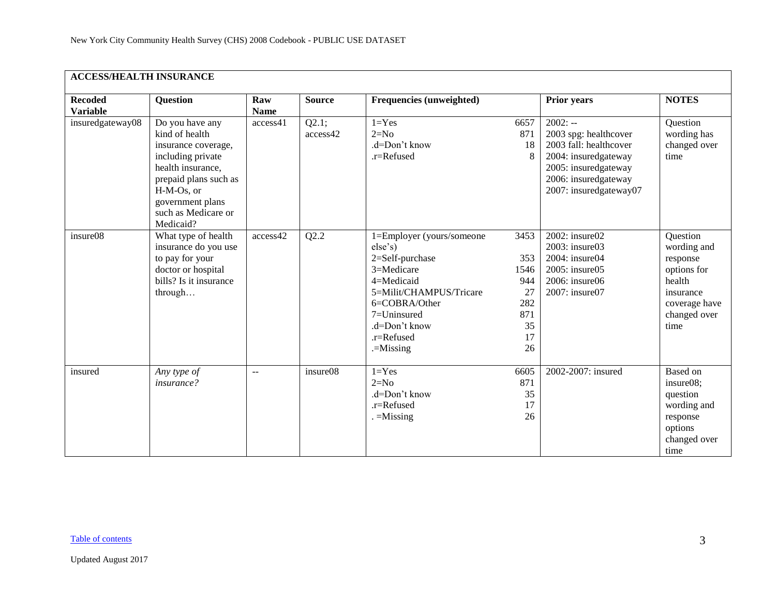<span id="page-2-0"></span>

| <b>ACCESS/HEALTH INSURANCE</b>    |                                                                                                                                                                                                   |                    |                   |                                                                                                                                                                                              |                                                                  |                                                                                                                                                                |                                                                                                                    |  |  |  |
|-----------------------------------|---------------------------------------------------------------------------------------------------------------------------------------------------------------------------------------------------|--------------------|-------------------|----------------------------------------------------------------------------------------------------------------------------------------------------------------------------------------------|------------------------------------------------------------------|----------------------------------------------------------------------------------------------------------------------------------------------------------------|--------------------------------------------------------------------------------------------------------------------|--|--|--|
| <b>Recoded</b><br><b>Variable</b> | <b>Question</b>                                                                                                                                                                                   | Raw<br><b>Name</b> | <b>Source</b>     | <b>Frequencies (unweighted)</b>                                                                                                                                                              |                                                                  | <b>Prior years</b>                                                                                                                                             | <b>NOTES</b>                                                                                                       |  |  |  |
| insuredgateway08                  | Do you have any<br>kind of health<br>insurance coverage,<br>including private<br>health insurance,<br>prepaid plans such as<br>H-M-Os, or<br>government plans<br>such as Medicare or<br>Medicaid? | access41           | Q2.1;<br>access42 | $1 = Yes$<br>$2=N0$<br>.d=Don't know<br>.r=Refused                                                                                                                                           | 6657<br>871<br>18<br>8                                           | $2002: -$<br>2003 spg: healthcover<br>2003 fall: healthcover<br>2004: insuredgateway<br>2005: insuredgateway<br>2006: insuredgateway<br>2007: insuredgateway07 | Question<br>wording has<br>changed over<br>time                                                                    |  |  |  |
| insure08                          | What type of health<br>insurance do you use<br>to pay for your<br>doctor or hospital<br>bills? Is it insurance<br>through                                                                         | access42           | Q2.2              | 1=Employer (yours/someone<br>else's)<br>2=Self-purchase<br>3=Medicare<br>4=Medicaid<br>5=Milit/CHAMPUS/Tricare<br>6=COBRA/Other<br>7=Uninsured<br>.d=Don't know<br>.r=Refused<br>$=$ Missing | 3453<br>353<br>1546<br>944<br>27<br>282<br>871<br>35<br>17<br>26 | 2002: insure02<br>2003: insure03<br>2004: insure04<br>2005: insure05<br>2006: insure06<br>2007: insure07                                                       | Question<br>wording and<br>response<br>options for<br>health<br>insurance<br>coverage have<br>changed over<br>time |  |  |  |
| insured                           | Any type of<br>insurance?                                                                                                                                                                         | $-$                | insure08          | $1 = Yes$<br>$2=N0$<br>.d=Don't know<br>.r=Refused<br>$=$ Missing                                                                                                                            | 6605<br>871<br>35<br>17<br>26                                    | 2002-2007: insured                                                                                                                                             | Based on<br>insure08;<br>question<br>wording and<br>response<br>options<br>changed over<br>time                    |  |  |  |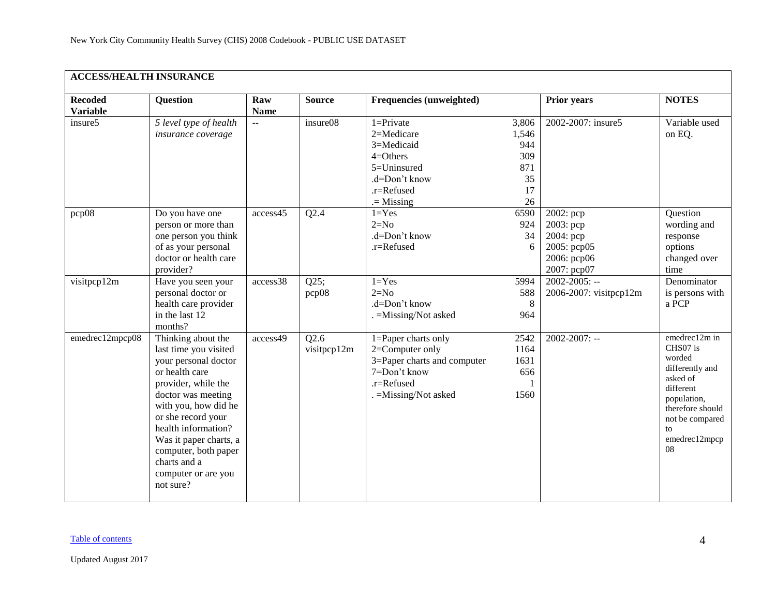| <b>ACCESS/HEALTH INSURANCE</b>    |                                                                                                                                                                                                                                                                                                               |                           |                     |                                                                                                                              |                                                       |                                                                                     |                                                                                                                                                                    |
|-----------------------------------|---------------------------------------------------------------------------------------------------------------------------------------------------------------------------------------------------------------------------------------------------------------------------------------------------------------|---------------------------|---------------------|------------------------------------------------------------------------------------------------------------------------------|-------------------------------------------------------|-------------------------------------------------------------------------------------|--------------------------------------------------------------------------------------------------------------------------------------------------------------------|
| <b>Recoded</b><br><b>Variable</b> | <b>Question</b>                                                                                                                                                                                                                                                                                               | Raw<br><b>Name</b>        | <b>Source</b>       | Frequencies (unweighted)                                                                                                     |                                                       | <b>Prior years</b>                                                                  | <b>NOTES</b>                                                                                                                                                       |
| insure5                           | 5 level type of health<br>insurance coverage                                                                                                                                                                                                                                                                  | $\mathbb{L}^{\mathbb{L}}$ | insure08            | $1 =$ Private<br>2=Medicare<br>3=Medicaid<br>$4 = Others$<br>5=Uninsured<br>.d=Don't know<br>.r=Refused<br>$=$ Missing       | 3,806<br>1,546<br>944<br>309<br>871<br>35<br>17<br>26 | 2002-2007: insure5                                                                  | Variable used<br>on EQ.                                                                                                                                            |
| pcp08                             | Do you have one<br>person or more than<br>one person you think<br>of as your personal<br>doctor or health care<br>provider?                                                                                                                                                                                   | access45                  | Q2.4                | $1 = Yes$<br>$2=N0$<br>.d=Don't know<br>.r=Refused                                                                           | 6590<br>924<br>34<br>6                                | $2002$ : pcp<br>2003: pcp<br>2004: pcp<br>2005: pcp05<br>2006: рер06<br>2007: pcp07 | Question<br>wording and<br>response<br>options<br>changed over<br>time                                                                                             |
| visitpcp12m                       | Have you seen your<br>personal doctor or<br>health care provider<br>in the last 12<br>months?                                                                                                                                                                                                                 | access38                  | Q25;<br>pcp08       | $1 = Yes$<br>$2=N0$<br>.d=Don't know<br>. = Missing/Not asked                                                                | 5994<br>588<br>8<br>964                               | $2002 - 2005$ : --<br>2006-2007: visitpcp12m                                        | Denominator<br>is persons with<br>a PCP                                                                                                                            |
| emedrec12mpcp08                   | Thinking about the<br>last time you visited<br>your personal doctor<br>or health care<br>provider, while the<br>doctor was meeting<br>with you, how did he<br>or she record your<br>health information?<br>Was it paper charts, a<br>computer, both paper<br>charts and a<br>computer or are you<br>not sure? | access49                  | Q2.6<br>visitpcp12m | 1=Paper charts only<br>2=Computer only<br>3=Paper charts and computer<br>7=Don't know<br>.r=Refused<br>. = Missing/Not asked | 2542<br>1164<br>1631<br>656<br>1560                   | $2002 - 2007$ : --                                                                  | emedrec12m in<br>CHS07 is<br>worded<br>differently and<br>asked of<br>different<br>population,<br>therefore should<br>not be compared<br>to<br>emedrec12mpcp<br>08 |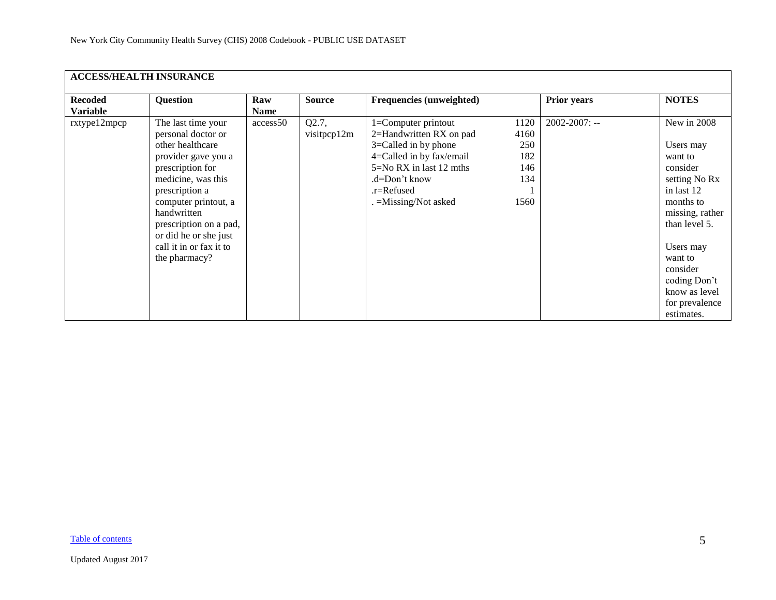| <b>ACCESS/HEALTH INSURANCE</b>    |                                                                                                                                                                                                                                                                                       |                    |                      |                                                                                                                                                                                           |                                                  |                    |                                                                                                                                                                                                                                      |  |  |  |  |
|-----------------------------------|---------------------------------------------------------------------------------------------------------------------------------------------------------------------------------------------------------------------------------------------------------------------------------------|--------------------|----------------------|-------------------------------------------------------------------------------------------------------------------------------------------------------------------------------------------|--------------------------------------------------|--------------------|--------------------------------------------------------------------------------------------------------------------------------------------------------------------------------------------------------------------------------------|--|--|--|--|
| <b>Recoded</b><br><b>Variable</b> | <b>Question</b>                                                                                                                                                                                                                                                                       | Raw<br><b>Name</b> | <b>Source</b>        | Frequencies (unweighted)                                                                                                                                                                  |                                                  | <b>Prior years</b> | <b>NOTES</b>                                                                                                                                                                                                                         |  |  |  |  |
| rxtype12mpcp                      | The last time your<br>personal doctor or<br>other healthcare<br>provider gave you a<br>prescription for<br>medicine, was this<br>prescription a<br>computer printout, a<br>handwritten<br>prescription on a pad,<br>or did he or she just<br>call it in or fax it to<br>the pharmacy? | access50           | Q2.7,<br>visitpcp12m | 1=Computer printout<br>2=Handwritten RX on pad<br>$3 =$ Called in by phone<br>4=Called in by fax/email<br>5=No RX in last 12 mths<br>.d=Don't know<br>.r=Refused<br>. = Missing/Not asked | 1120<br>4160<br>250<br>182<br>146<br>134<br>1560 | $2002 - 2007$ : -- | New in 2008<br>Users may<br>want to<br>consider<br>setting No Rx<br>in last 12<br>months to<br>missing, rather<br>than level 5.<br>Users may<br>want to<br>consider<br>coding Don't<br>know as level<br>for prevalence<br>estimates. |  |  |  |  |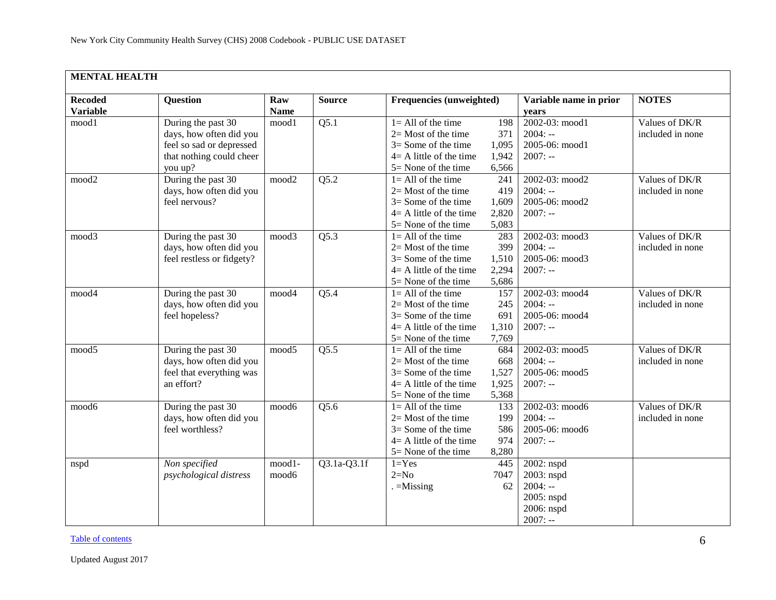<span id="page-5-0"></span>

| <b>MENTAL HEALTH</b>              |                                                                                                                  |                    |                   |                                                                                                                                  |                                       |                                                                                |                                    |
|-----------------------------------|------------------------------------------------------------------------------------------------------------------|--------------------|-------------------|----------------------------------------------------------------------------------------------------------------------------------|---------------------------------------|--------------------------------------------------------------------------------|------------------------------------|
| <b>Recoded</b><br><b>Variable</b> | <b>Question</b>                                                                                                  | Raw<br><b>Name</b> | <b>Source</b>     | Frequencies (unweighted)                                                                                                         |                                       | Variable name in prior<br>years                                                | <b>NOTES</b>                       |
| mood1                             | During the past 30<br>days, how often did you<br>feel so sad or depressed<br>that nothing could cheer<br>you up? | mood1              | Q5.1              | $1 = All of the time$<br>$2=$ Most of the time<br>$3 =$ Some of the time<br>$4 = A$ little of the time<br>$5 =$ None of the time | 198<br>371<br>1,095<br>1,942<br>6,566 | 2002-03: mood1<br>$2004: -$<br>2005-06: mood1<br>$2007: -$                     | Values of DK/R<br>included in none |
| mood2                             | During the past 30<br>days, how often did you<br>feel nervous?                                                   | mood2              | Q5.2              | $1 = All of the time$<br>$2=$ Most of the time<br>$3 =$ Some of the time<br>$4 = A$ little of the time<br>$5 =$ None of the time | 241<br>419<br>1,609<br>2,820<br>5,083 | 2002-03: mood2<br>$2004: -$<br>2005-06: mood2<br>$2007: -$                     | Values of DK/R<br>included in none |
| mood3                             | During the past 30<br>days, how often did you<br>feel restless or fidgety?                                       | mood3              | Q5.3              | $1 = All of the time$<br>$2=$ Most of the time<br>$3 =$ Some of the time<br>$4 = A$ little of the time<br>$5 =$ None of the time | 283<br>399<br>1,510<br>2,294<br>5,686 | 2002-03: mood3<br>$2004: -$<br>2005-06: mood3<br>$2007: -$                     | Values of DK/R<br>included in none |
| mood4                             | During the past 30<br>days, how often did you<br>feel hopeless?                                                  | mood4              | Q5.4              | $1 = All of the time$<br>$2=$ Most of the time<br>$3 =$ Some of the time<br>$4 = A$ little of the time<br>$5 =$ None of the time | 157<br>245<br>691<br>1,310<br>7,769   | 2002-03: mood4<br>$2004: -$<br>2005-06: mood4<br>$2007: -$                     | Values of DK/R<br>included in none |
| mood5                             | During the past 30<br>days, how often did you<br>feel that everything was<br>an effort?                          | mood5              | $\overline{Q5.5}$ | $1 = All of the time$<br>$2=$ Most of the time<br>$3 =$ Some of the time<br>$4 = A$ little of the time<br>$5 =$ None of the time | 684<br>668<br>1,527<br>1,925<br>5,368 | 2002-03: mood5<br>$2004: -$<br>2005-06: mood5<br>$2007: -$                     | Values of DK/R<br>included in none |
| mood6                             | During the past 30<br>days, how often did you<br>feel worthless?                                                 | mood6              | $Q\overline{5.6}$ | $1 = All of the time$<br>$2=$ Most of the time<br>$3 =$ Some of the time<br>$4 = A$ little of the time<br>5= None of the time    | 133<br>199<br>586<br>974<br>8,280     | 2002-03: mood6<br>$2004: -$<br>2005-06: mood6<br>$2007: -$                     | Values of DK/R<br>included in none |
| nspd                              | Non specified<br>psychological distress                                                                          | mood1-<br>mood6    | $Q3.1a-Q3.1f$     | $1 = Yes$<br>$2=N0$<br>$=$ Missing                                                                                               | 445<br>7047<br>62                     | 2002: nspd<br>2003: nspd<br>$2004: -$<br>2005: nspd<br>2006: nspd<br>$2007: -$ |                                    |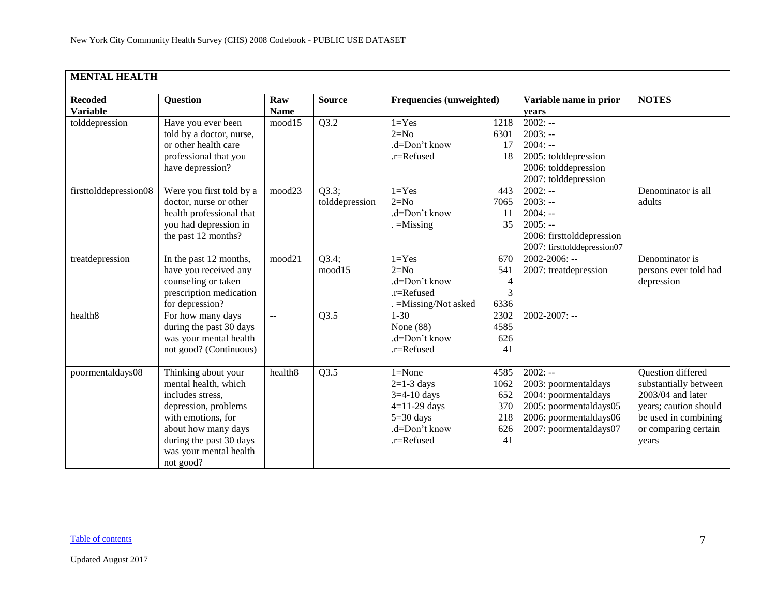| <b>MENTAL HEALTH</b>              |                                                                                                                                                                                                        |                           |                         |                                                                                                             |                                                |                                                                                                                                         |                                                                                                                                                   |  |  |  |
|-----------------------------------|--------------------------------------------------------------------------------------------------------------------------------------------------------------------------------------------------------|---------------------------|-------------------------|-------------------------------------------------------------------------------------------------------------|------------------------------------------------|-----------------------------------------------------------------------------------------------------------------------------------------|---------------------------------------------------------------------------------------------------------------------------------------------------|--|--|--|
| <b>Recoded</b><br><b>Variable</b> | <b>Question</b>                                                                                                                                                                                        | Raw<br><b>Name</b>        | <b>Source</b>           | Frequencies (unweighted)                                                                                    |                                                | Variable name in prior<br>years                                                                                                         | <b>NOTES</b>                                                                                                                                      |  |  |  |
| tolddepression                    | Have you ever been<br>told by a doctor, nurse,<br>or other health care<br>professional that you<br>have depression?                                                                                    | mood15                    | Q3.2                    | $1 = Yes$<br>$2=N0$<br>.d=Don't know<br>.r=Refused                                                          | 1218<br>6301<br>17<br>18                       | $2002: -$<br>$2003: -$<br>$2004: -$<br>2005: tolddepression<br>2006: tolddepression<br>2007: tolddepression                             |                                                                                                                                                   |  |  |  |
| firsttolddepression08             | Were you first told by a<br>doctor, nurse or other<br>health professional that<br>you had depression in<br>the past 12 months?                                                                         | mood23                    | Q3.3;<br>tolddepression | $1 = Yes$<br>$2=N0$<br>.d=Don't know<br>$=$ Missing                                                         | 443<br>7065<br>11<br>35                        | $2002: -$<br>$2003: -$<br>$2004: -$<br>$2005: -$<br>2006: firsttolddepression<br>2007: firsttolddepression07                            | Denominator is all<br>adults                                                                                                                      |  |  |  |
| treatdepression                   | In the past 12 months,<br>have you received any<br>counseling or taken<br>prescription medication<br>for depression?                                                                                   | mood21                    | Q3.4;<br>mood15         | $1 = Yes$<br>$2=N0$<br>.d=Don't know<br>.r=Refused<br>. = Missing/Not asked                                 | 670<br>541<br>4<br>3<br>6336                   | $2002 - 2006$ : --<br>2007: treatdepression                                                                                             | Denominator is<br>persons ever told had<br>depression                                                                                             |  |  |  |
| health <sub>8</sub>               | For how many days<br>during the past 30 days<br>was your mental health<br>not good? (Continuous)                                                                                                       | $\mathbb{L}^{\mathbb{L}}$ | Q3.5                    | $1 - 30$<br>None $(88)$<br>.d=Don't know<br>$.r =$ Refused                                                  | 2302<br>4585<br>626<br>41                      | 2002-2007: --                                                                                                                           |                                                                                                                                                   |  |  |  |
| poormentaldays08                  | Thinking about your<br>mental health, which<br>includes stress,<br>depression, problems<br>with emotions, for<br>about how many days<br>during the past 30 days<br>was your mental health<br>not good? | health <sub>8</sub>       | Q3.5                    | $1 = None$<br>$2=1-3$ days<br>$3=4-10$ days<br>$4=11-29$ days<br>$5=30$ days<br>.d=Don't know<br>.r=Refused | 4585<br>1062<br>652<br>370<br>218<br>626<br>41 | $2002: -$<br>2003: poormentaldays<br>2004: poormentaldays<br>2005: poormentaldays05<br>2006: poormentaldays06<br>2007: poormentaldays07 | Question differed<br>substantially between<br>2003/04 and later<br>years; caution should<br>be used in combining<br>or comparing certain<br>years |  |  |  |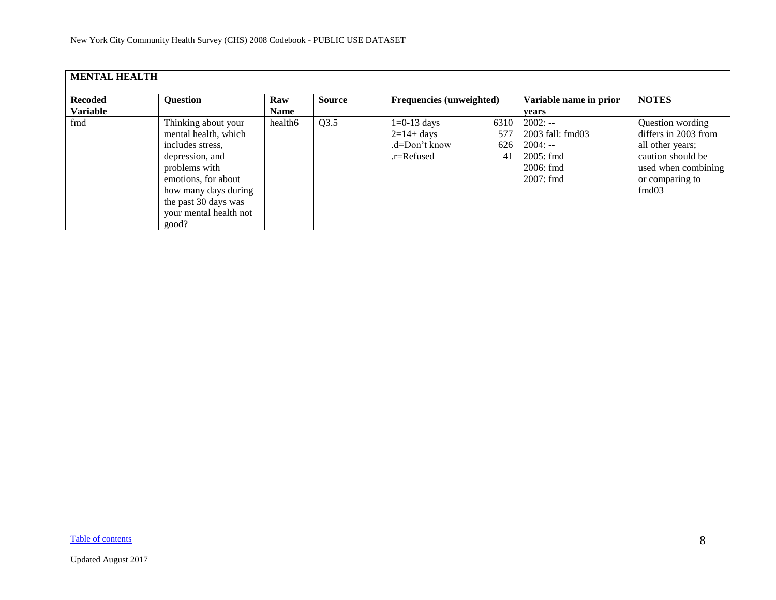| <b>MENTAL HEALTH</b>              |                                                                                                                                                                                                               |                    |               |                                                              |                          |                                                                                        |                                                                                                                                      |
|-----------------------------------|---------------------------------------------------------------------------------------------------------------------------------------------------------------------------------------------------------------|--------------------|---------------|--------------------------------------------------------------|--------------------------|----------------------------------------------------------------------------------------|--------------------------------------------------------------------------------------------------------------------------------------|
| <b>Recoded</b><br><b>Variable</b> | <b>Question</b>                                                                                                                                                                                               | Raw<br><b>Name</b> | <b>Source</b> | Frequencies (unweighted)                                     |                          | Variable name in prior<br>vears                                                        | <b>NOTES</b>                                                                                                                         |
| fmd                               | Thinking about your<br>mental health, which<br>includes stress,<br>depression, and<br>problems with<br>emotions, for about<br>how many days during<br>the past 30 days was<br>your mental health not<br>good? | health6            | Q3.5          | $1=0-13$ days<br>$2=14+ days$<br>.d=Don't know<br>.r=Refused | 6310<br>577<br>626<br>41 | $2002: -$<br>2003 fall: fmd03<br>$2004: -$<br>$2005$ : fmd<br>2006: fmd<br>$2007:$ fmd | Question wording<br>differs in 2003 from<br>all other years;<br>caution should be<br>used when combining<br>or comparing to<br>fmd03 |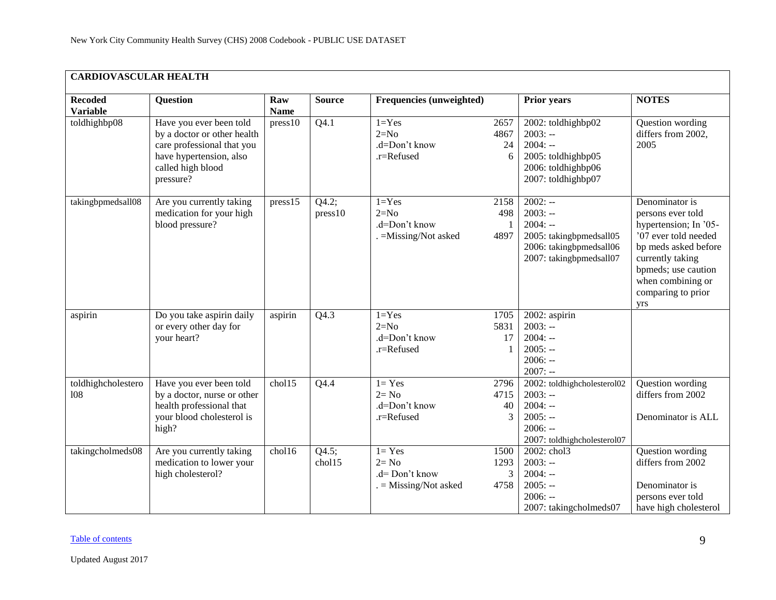<span id="page-8-0"></span>

| <b>CARDIOVASCULAR HEALTH</b>      |                                                                                                                                                   |                    |                  |                                                                    |                           |                                                                                                                      |                                                                                                                                                                                                           |  |  |  |
|-----------------------------------|---------------------------------------------------------------------------------------------------------------------------------------------------|--------------------|------------------|--------------------------------------------------------------------|---------------------------|----------------------------------------------------------------------------------------------------------------------|-----------------------------------------------------------------------------------------------------------------------------------------------------------------------------------------------------------|--|--|--|
| <b>Recoded</b><br><b>Variable</b> | <b>Question</b>                                                                                                                                   | Raw<br><b>Name</b> | <b>Source</b>    | Frequencies (unweighted)                                           |                           | <b>Prior years</b>                                                                                                   | <b>NOTES</b>                                                                                                                                                                                              |  |  |  |
| toldhighbp08                      | Have you ever been told<br>by a doctor or other health<br>care professional that you<br>have hypertension, also<br>called high blood<br>pressure? | press10            | Q4.1             | $1 = Yes$<br>$2=N0$<br>.d=Don't know<br>.r=Refused                 | 2657<br>4867<br>24<br>6   | 2002: toldhighbp02<br>$2003: -$<br>$2004: -$<br>2005: toldhighbp05<br>2006: toldhighbp06<br>2007: toldhighbp07       | Question wording<br>differs from 2002,<br>2005                                                                                                                                                            |  |  |  |
| takingbpmedsall08                 | Are you currently taking<br>medication for your high<br>blood pressure?                                                                           | press 15           | Q4.2;<br>press10 | $1 = Yes$<br>$2=N0$<br>.d=Don't know<br>. = Missing/Not asked      | 2158<br>498<br>4897       | $2002: -$<br>$2003: -$<br>$2004: -$<br>2005: takingbpmedsall05<br>2006: takingbpmedsall06<br>2007: takingbpmedsall07 | Denominator is<br>persons ever told<br>hypertension; In '05-<br>'07 ever told needed<br>bp meds asked before<br>currently taking<br>bpmeds; use caution<br>when combining or<br>comparing to prior<br>yrs |  |  |  |
| aspirin                           | Do you take aspirin daily<br>or every other day for<br>your heart?                                                                                | aspirin            | Q4.3             | $1 = Yes$<br>$2=N0$<br>.d=Don't know<br>.r=Refused                 | 1705<br>5831<br>17<br>1   | 2002: aspirin<br>$2003: -$<br>$2004: -$<br>$2005: -$<br>$2006: -$<br>$2007: -$                                       |                                                                                                                                                                                                           |  |  |  |
| toldhighcholestero<br>108         | Have you ever been told<br>by a doctor, nurse or other<br>health professional that<br>your blood cholesterol is<br>high?                          | chol15             | Q4.4             | $1 = Yes$<br>$2 = No$<br>.d=Don't know<br>.r=Refused               | 2796<br>4715<br>40<br>3   | 2002: toldhighcholesterol02<br>$2003: -$<br>$2004: -$<br>$2005: -$<br>$2006: -$<br>2007: toldhighcholesterol07       | Question wording<br>differs from 2002<br>Denominator is ALL                                                                                                                                               |  |  |  |
| takingcholmeds08                  | Are you currently taking<br>medication to lower your<br>high cholesterol?                                                                         | chol16             | Q4.5;<br>chol15  | $l = Yes$<br>$2 = No$<br>.d= Don't know<br>$. =$ Missing/Not asked | 1500<br>1293<br>3<br>4758 | 2002: chol3<br>$2003: -$<br>$2004: -$<br>$2005: -$<br>$2006: -$<br>2007: takingcholmeds07                            | Question wording<br>differs from 2002<br>Denominator is<br>persons ever told<br>have high cholesterol                                                                                                     |  |  |  |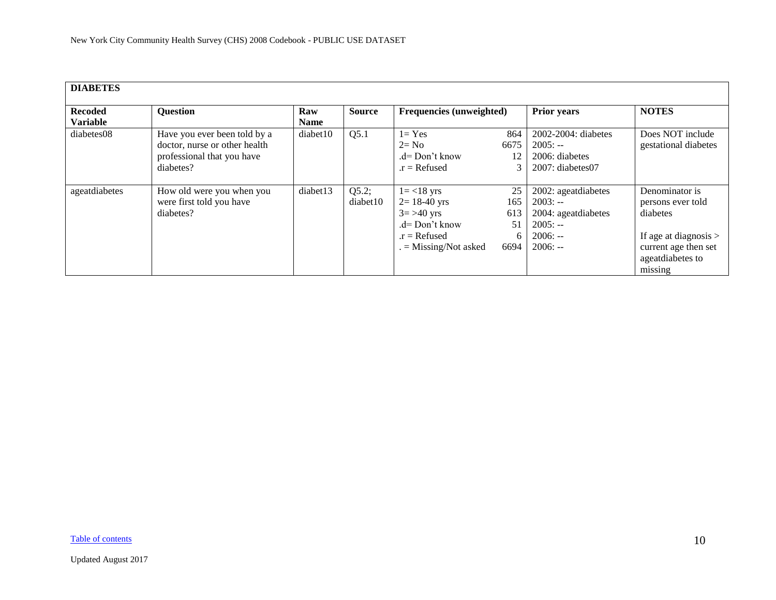<span id="page-9-0"></span>

| <b>DIABETES</b>                   |                               |             |               |                                 |      |                        |                         |
|-----------------------------------|-------------------------------|-------------|---------------|---------------------------------|------|------------------------|-------------------------|
| <b>Recoded</b><br><b>Variable</b> | <b>Question</b>               | Raw         | <b>Source</b> | <b>Frequencies (unweighted)</b> |      | <b>Prior years</b>     | <b>NOTES</b>            |
|                                   |                               | <b>Name</b> |               |                                 |      |                        |                         |
| diabetes08                        | Have you ever been told by a  | diabet10    | Q5.1          | $1 = Yes$                       | 864  | 2002-2004: diabetes    | Does NOT include        |
|                                   | doctor, nurse or other health |             |               | $2 = No$                        | 6675 | $2005: -$              | gestational diabetes    |
|                                   | professional that you have    |             |               | $d=Don't know$                  | 12   | 2006: diabetes         |                         |
|                                   | diabetes?                     |             |               | $.r = Refused$                  |      | $2007$ : diabetes $07$ |                         |
|                                   |                               |             |               |                                 |      |                        |                         |
| ageatdiabetes                     | How old were you when you     | diabet13    | Q5.2;         | $1 = < 18$ yrs                  | 25   | 2002: ageatdiabetes    | Denominator is          |
|                                   | were first told you have      |             | diabet10      | $2 = 18-40$ yrs                 | 165  | $2003: -$              | persons ever told       |
|                                   | diabetes?                     |             |               | $3 = > 40$ yrs                  | 613  | 2004: ageatdiabetes    | diabetes                |
|                                   |                               |             |               | $d=$ Don't know                 | 51   | $2005: -$              |                         |
|                                   |                               |             |               | $.r = Refused$                  | 6    | $2006: -$              | If age at diagnosis $>$ |
|                                   |                               |             |               | $=$ Missing/Not asked           | 6694 | $2006: -$              | current age then set    |
|                                   |                               |             |               |                                 |      |                        | ageatdiabetes to        |
|                                   |                               |             |               |                                 |      |                        | missing                 |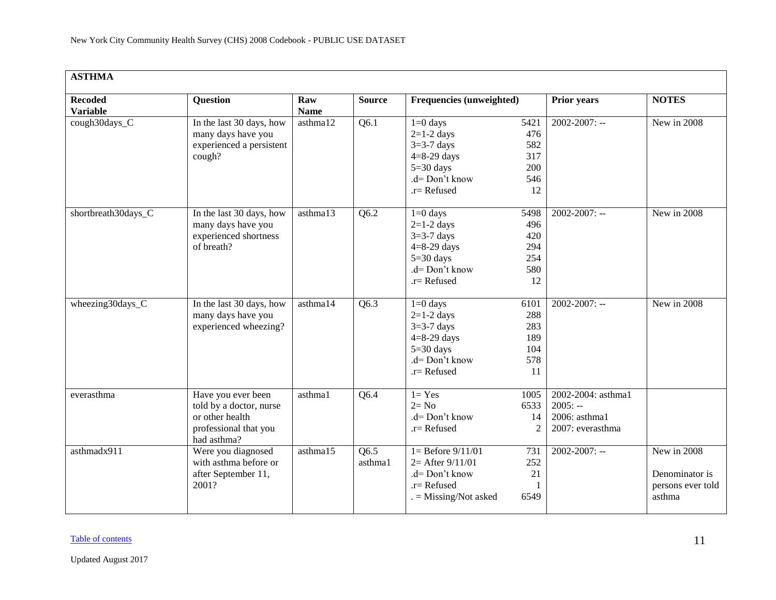<span id="page-10-0"></span>

| <b>ASTHMA</b>                     |                                                                                                          |                    |                   |                                                                                                                  |                                               |                                                                      |                                                              |  |  |  |  |  |
|-----------------------------------|----------------------------------------------------------------------------------------------------------|--------------------|-------------------|------------------------------------------------------------------------------------------------------------------|-----------------------------------------------|----------------------------------------------------------------------|--------------------------------------------------------------|--|--|--|--|--|
| <b>Recoded</b><br><b>Variable</b> | <b>Question</b>                                                                                          | Raw<br><b>Name</b> | <b>Source</b>     | <b>Frequencies (unweighted)</b>                                                                                  |                                               | <b>Prior years</b>                                                   | <b>NOTES</b>                                                 |  |  |  |  |  |
| cough30days_C                     | In the last 30 days, how<br>many days have you<br>experienced a persistent<br>cough?                     | asthma12           | Q6.1              | $1=0$ days<br>$2=1-2$ days<br>$3=3-7$ days<br>$4=8-29$ days<br>$5=30$ days<br>.d= Don't know<br>$.r =$ Refused   | 5421<br>476<br>582<br>317<br>200<br>546<br>12 | $2002 - 2007$ : --                                                   | New in 2008                                                  |  |  |  |  |  |
| shortbreath30days_C               | In the last 30 days, how<br>many days have you<br>experienced shortness<br>of breath?                    | asthma13           | Q6.2              | $1=0$ days<br>$2=1-2$ days<br>$3=3-7$ days<br>$4=8-29$ days<br>$5=30$ days<br>$d = Don't know$<br>$.r =$ Refused | 5498<br>496<br>420<br>294<br>254<br>580<br>12 | $2002 - 2007$ : --                                                   | New in 2008                                                  |  |  |  |  |  |
| wheezing30days_C                  | In the last 30 days, how<br>many days have you<br>experienced wheezing?                                  | asthma14           | $\overline{Q6.3}$ | $1=0$ days<br>$2=1-2$ days<br>$3=3-7$ days<br>$4=8-29$ days<br>$5=30$ days<br>$d = Don't know$<br>$.r =$ Refused | 6101<br>288<br>283<br>189<br>104<br>578<br>11 | $2002 - 2007$ : --                                                   | New in 2008                                                  |  |  |  |  |  |
| everasthma                        | Have you ever been<br>told by a doctor, nurse<br>or other health<br>professional that you<br>had asthma? | asthma1            | Q6.4              | $1 = Yes$<br>$2 = No$<br>.d= Don't know<br>$r =$ Refused                                                         | 1005<br>6533<br>14<br>2                       | 2002-2004: asthma1<br>$2005: -$<br>2006: asthma1<br>2007: everasthma |                                                              |  |  |  |  |  |
| asthmadx911                       | Were you diagnosed<br>with asthma before or<br>after September 11,<br>2001?                              | asthma15           | Q6.5<br>asthma1   | $1 =$ Before $9/11/01$<br>$2=$ After $9/11/01$<br>.d= Don't know<br>$r =$ Refused<br>$=$ Missing/Not asked       | 731<br>252<br>21<br>6549                      | $2002 - 2007$ : --                                                   | New in 2008<br>Denominator is<br>persons ever told<br>asthma |  |  |  |  |  |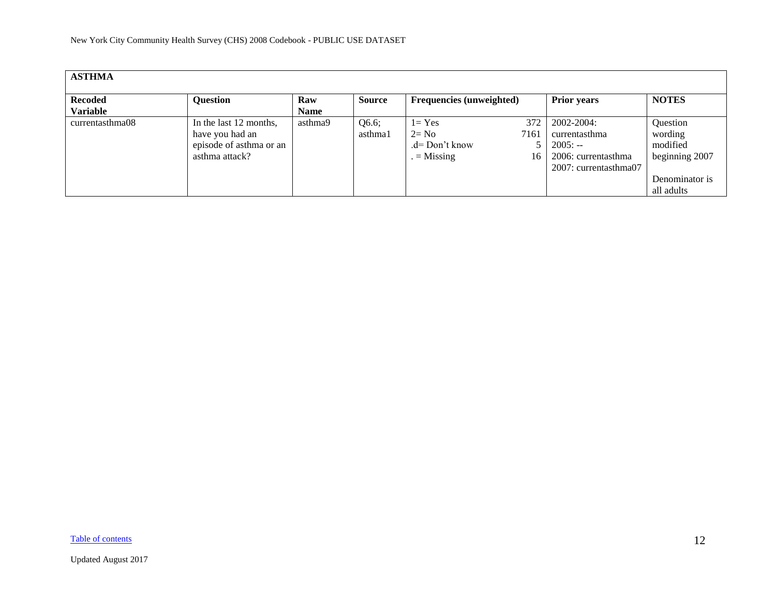| <b>ASTHMA</b>   |                         |         |               |                                 |      |                       |                 |  |  |  |  |
|-----------------|-------------------------|---------|---------------|---------------------------------|------|-----------------------|-----------------|--|--|--|--|
| <b>Recoded</b>  | <b>Question</b>         | Raw     | <b>Source</b> | <b>Frequencies</b> (unweighted) |      | <b>Prior years</b>    | <b>NOTES</b>    |  |  |  |  |
| <b>Variable</b> |                         | Name    |               |                                 |      |                       |                 |  |  |  |  |
| currentasthma08 | In the last 12 months,  | asthma9 | Q6.6;         | $1 = Yes$                       | 372  | 2002-2004:            | <b>Ouestion</b> |  |  |  |  |
|                 | have you had an         |         | asthma1       | $2 = No$                        | 7161 | currentasthma         | wording         |  |  |  |  |
|                 | episode of asthma or an |         |               | $d=Don't know$                  |      | $2005: -$             | modified        |  |  |  |  |
|                 | asthma attack?          |         |               | $=$ Missing                     | 16   | 2006: currentasthma   | beginning 2007  |  |  |  |  |
|                 |                         |         |               |                                 |      | 2007: currentasthma07 |                 |  |  |  |  |
|                 |                         |         |               |                                 |      |                       | Denominator is  |  |  |  |  |
|                 |                         |         |               |                                 |      |                       | all adults      |  |  |  |  |

[Table of contents](#page-0-0)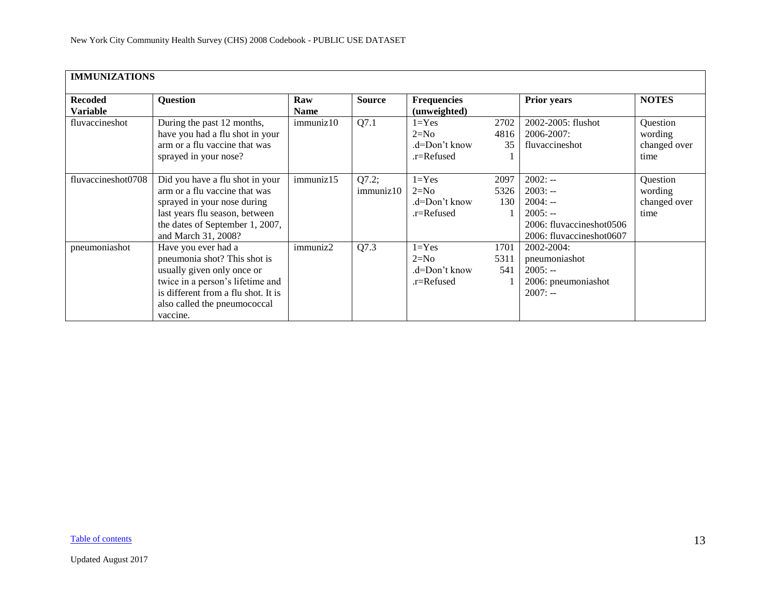<span id="page-12-0"></span>

|                    | <b>IMMUNIZATIONS</b>                |             |               |                    |      |                          |              |  |  |  |  |
|--------------------|-------------------------------------|-------------|---------------|--------------------|------|--------------------------|--------------|--|--|--|--|
|                    |                                     |             |               |                    |      |                          |              |  |  |  |  |
| <b>Recoded</b>     | <b>Question</b>                     | Raw         | <b>Source</b> | <b>Frequencies</b> |      | <b>Prior years</b>       | <b>NOTES</b> |  |  |  |  |
| <b>Variable</b>    |                                     | <b>Name</b> |               | (unweighted)       |      |                          |              |  |  |  |  |
| fluvaccineshot     | During the past 12 months,          | immuniz10   | Q7.1          | $1 = Yes$          | 2702 | 2002-2005: flushot       | Question     |  |  |  |  |
|                    | have you had a flu shot in your     |             |               | $2=N0$             | 4816 | 2006-2007:               | wording      |  |  |  |  |
|                    | arm or a flu vaccine that was       |             |               | .d=Don't know      | 35   | fluvaccineshot           | changed over |  |  |  |  |
|                    | sprayed in your nose?               |             |               | $r =$ Refused      |      |                          | time         |  |  |  |  |
|                    |                                     |             |               |                    |      |                          |              |  |  |  |  |
| fluvaccineshot0708 | Did you have a flu shot in your     | immuniz15   | Q7.2;         | $1 = Yes$          | 2097 | $2002: -$                | Question     |  |  |  |  |
|                    | arm or a flu vaccine that was       |             | immuniz10     | $2=N0$             | 5326 | $2003: -$                | wording      |  |  |  |  |
|                    | sprayed in your nose during         |             |               | .d=Don't know      | 130  | $2004: -$                | changed over |  |  |  |  |
|                    | last years flu season, between      |             |               | .r=Refused         |      | $2005: -$                | time         |  |  |  |  |
|                    | the dates of September 1, 2007,     |             |               |                    |      | 2006: fluvaccineshot0506 |              |  |  |  |  |
|                    | and March 31, 2008?                 |             |               |                    |      | 2006: fluvaccineshot0607 |              |  |  |  |  |
| pneumoniashot      | Have you ever had a                 | immuniz2    | Q7.3          | $1 = Yes$          | 1701 | 2002-2004:               |              |  |  |  |  |
|                    | pneumonia shot? This shot is        |             |               | $2=N0$             | 5311 | pneumoniashot            |              |  |  |  |  |
|                    | usually given only once or          |             |               | $d=Don't know$     | 541  | $2005: -$                |              |  |  |  |  |
|                    | twice in a person's lifetime and    |             |               | .r=Refused         |      | 2006: pneumoniashot      |              |  |  |  |  |
|                    | is different from a flu shot. It is |             |               |                    |      | $2007: -$                |              |  |  |  |  |
|                    | also called the pneumococcal        |             |               |                    |      |                          |              |  |  |  |  |
|                    | vaccine.                            |             |               |                    |      |                          |              |  |  |  |  |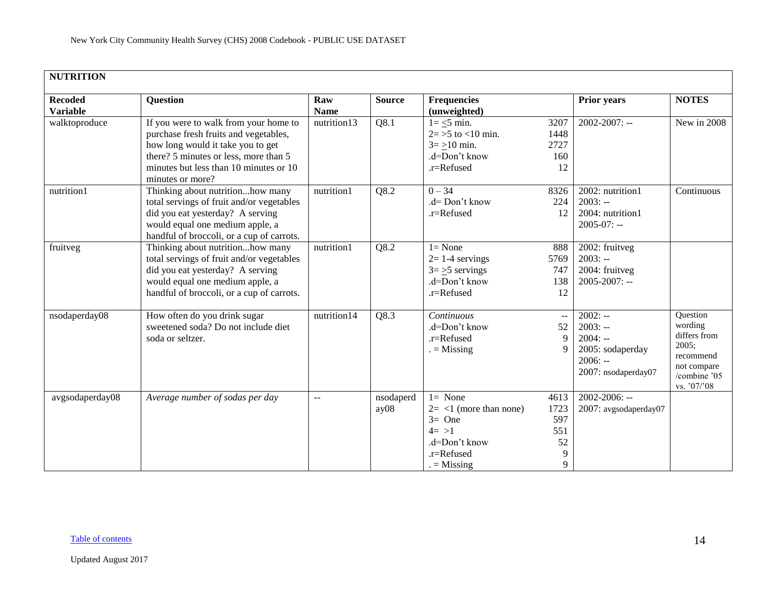<span id="page-13-0"></span>

| <b>NUTRITION</b>                  |                                                                                                                                                                                                                            |                    |                   |                                                                                                              |                                            |                                                                                             |                                                                                                         |
|-----------------------------------|----------------------------------------------------------------------------------------------------------------------------------------------------------------------------------------------------------------------------|--------------------|-------------------|--------------------------------------------------------------------------------------------------------------|--------------------------------------------|---------------------------------------------------------------------------------------------|---------------------------------------------------------------------------------------------------------|
| <b>Recoded</b><br><b>Variable</b> | <b>Question</b>                                                                                                                                                                                                            | Raw<br><b>Name</b> | <b>Source</b>     | <b>Frequencies</b><br>(unweighted)                                                                           |                                            | <b>Prior years</b>                                                                          | <b>NOTES</b>                                                                                            |
| walktoproduce                     | If you were to walk from your home to<br>purchase fresh fruits and vegetables,<br>how long would it take you to get<br>there? 5 minutes or less, more than 5<br>minutes but less than 10 minutes or 10<br>minutes or more? | nutrition13        | Q8.1              | $1 = \leq 5$ min.<br>$2 = 5$ to $< 10$ min.<br>$3 = \ge 10$ min.<br>.d=Don't know<br>.r=Refused              | 3207<br>1448<br>2727<br>160<br>12          | $2002 - 2007$ : --                                                                          | $\overline{\text{New}}$ in 2008                                                                         |
| nutrition1                        | Thinking about nutritionhow many<br>total servings of fruit and/or vegetables<br>did you eat yesterday? A serving<br>would equal one medium apple, a<br>handful of broccoli, or a cup of carrots.                          | nutrition1         | Q8.2              | $0 - 34$<br>$d = Don't know$<br>.r=Refused                                                                   | 8326<br>224<br>12                          | 2002: nutrition1<br>$2003: -$<br>2004: nutrition1<br>$2005 - 07$ : --                       | Continuous                                                                                              |
| fruitveg                          | Thinking about nutritionhow many<br>total servings of fruit and/or vegetables<br>did you eat yesterday? A serving<br>would equal one medium apple, a<br>handful of broccoli, or a cup of carrots.                          | nutrition1         | Q8.2              | $l = None$<br>$2=1-4$ servings<br>$3 = 5$ servings<br>.d=Don't know<br>.r=Refused                            | 888<br>5769<br>747<br>138<br>12            | 2002: fruitveg<br>$2003: -$<br>2004: fruitveg<br>$2005 - 2007$ : --                         |                                                                                                         |
| nsodaperday08                     | How often do you drink sugar<br>sweetened soda? Do not include diet<br>soda or seltzer.                                                                                                                                    | nutrition14        | Q8.3              | Continuous<br>.d=Don't know<br>.r=Refused<br>$=$ Missing                                                     | $\overline{a}$<br>52<br>9<br>9             | $2002: -$<br>$2003: -$<br>$2004: -$<br>2005: sodaperday<br>$2006: -$<br>2007: nsodaperday07 | Question<br>wording<br>differs from<br>2005;<br>recommend<br>not compare<br>/combine '05<br>vs. '07/'08 |
| avgsodaperday08                   | Average number of sodas per day                                                                                                                                                                                            | $\overline{a}$     | nsodaperd<br>ay08 | $l = None$<br>$2 = 1$ (more than none)<br>$3=$ One<br>$4 = >1$<br>.d=Don't know<br>.r=Refused<br>$=$ Missing | 4613<br>1723<br>597<br>551<br>52<br>9<br>9 | $2002 - 2006$ : --<br>2007: avgsodaperday07                                                 |                                                                                                         |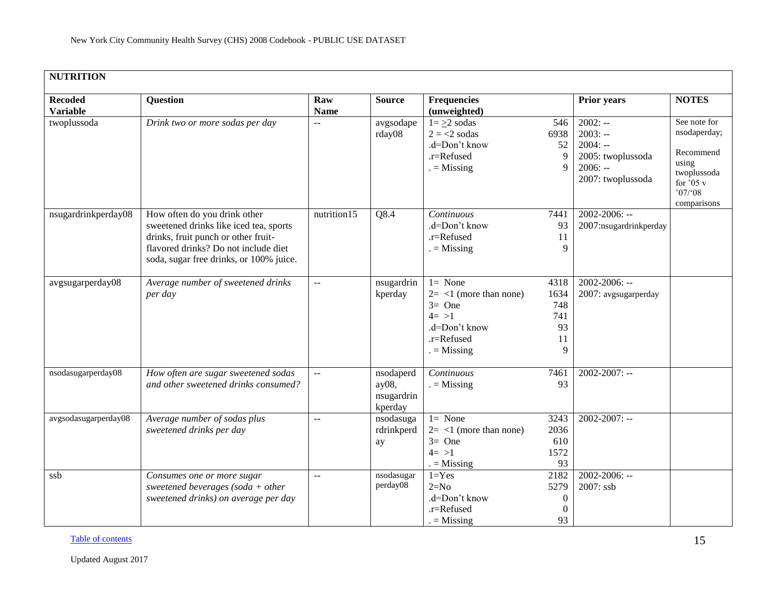| <b>NUTRITION</b>                  |                                                                                                                                                                                                  |                           |                                             |                                                                                                                                |                                                        |                                                                                            |                                                                                                                    |
|-----------------------------------|--------------------------------------------------------------------------------------------------------------------------------------------------------------------------------------------------|---------------------------|---------------------------------------------|--------------------------------------------------------------------------------------------------------------------------------|--------------------------------------------------------|--------------------------------------------------------------------------------------------|--------------------------------------------------------------------------------------------------------------------|
| <b>Recoded</b><br><b>Variable</b> | <b>Question</b>                                                                                                                                                                                  | Raw<br><b>Name</b>        | <b>Source</b>                               | <b>Frequencies</b><br>(unweighted)                                                                                             |                                                        | <b>Prior years</b>                                                                         | <b>NOTES</b>                                                                                                       |
| twoplussoda                       | Drink two or more sodas per day                                                                                                                                                                  |                           | avgsodape<br>rday08                         | $1 = \geq 2$ sodas<br>$2 = 2$ sodas<br>.d=Don't know<br>.r=Refused<br>$=$ Missing                                              | 546<br>6938<br>52<br>$\mathbf Q$                       | $2002: -$<br>$2003: -$<br>$2004: -$<br>2005: twoplussoda<br>$2006: -$<br>2007: twoplussoda | See note for<br>nsodaperday;<br>Recommend<br>using<br>twoplussoda<br>for $\overline{05}$ v<br>07/08<br>comparisons |
| nsugardrinkperday08               | How often do you drink other<br>sweetened drinks like iced tea, sports<br>drinks, fruit punch or other fruit-<br>flavored drinks? Do not include diet<br>soda, sugar free drinks, or 100% juice. | nutrition15               | Q8.4                                        | Continuous<br>.d=Don't know<br>.r=Refused<br>$=$ Missing                                                                       | 7441<br>93<br>11<br>9                                  | $2002 - 2006$ : --<br>2007:nsugardrinkperday                                               |                                                                                                                    |
| avgsugarperday08                  | Average number of sweetened drinks<br>per day                                                                                                                                                    | $\overline{a}$            | nsugardrin<br>kperday                       | $1 = \overline{\text{None}}$<br>$2 = 1$ (more than none)<br>$3=$ One<br>$4 = >1$<br>.d=Don't know<br>.r=Refused<br>$=$ Missing | 4318<br>1634<br>748<br>741<br>93<br>11<br>9            | $2002 - 2006$ : --<br>2007: avgsugarperday                                                 |                                                                                                                    |
| nsodasugarperday08                | How often are sugar sweetened sodas<br>and other sweetened drinks consumed?                                                                                                                      | --                        | nsodaperd<br>ay08,<br>nsugardrin<br>kperday | Continuous<br>$=$ Missing                                                                                                      | 7461<br>93                                             | $2002 - 2007$ : --                                                                         |                                                                                                                    |
| avgsodasugarperday08              | Average number of sodas plus<br>sweetened drinks per day                                                                                                                                         | $\mathbf{u} = \mathbf{v}$ | nsodasuga<br>rdrinkperd<br>ay               | $l = None$<br>$2 = 1$ (more than none)<br>$3=$ One<br>$4=>1$<br>$=$ Missing                                                    | 3243<br>2036<br>610<br>1572<br>93                      | $2002 - 2007$ : --                                                                         |                                                                                                                    |
| ssb                               | Consumes one or more sugar<br>sweetened beverages (soda + other<br>sweetened drinks) on average per day                                                                                          | $\overline{a}$            | nsodasugar<br>perday08                      | $1 = Yes$<br>$2=N0$<br>.d=Don't know<br>.r=Refused<br>$=$ Missing                                                              | 2182<br>5279<br>$\boldsymbol{0}$<br>$\mathbf{0}$<br>93 | $2002 - 2006$ : --<br>2007: ssb                                                            |                                                                                                                    |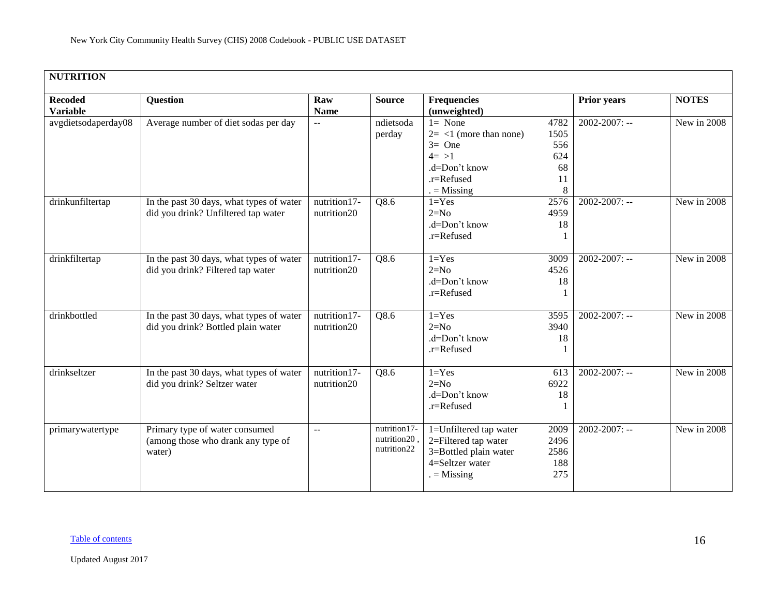| <b>Recoded</b><br><b>Variable</b> | Question                                                                        | Raw<br><b>Name</b>          | <b>Source</b>                               | <b>Frequencies</b><br>(unweighted)                                                                           |                                             | Prior years        | <b>NOTES</b> |
|-----------------------------------|---------------------------------------------------------------------------------|-----------------------------|---------------------------------------------|--------------------------------------------------------------------------------------------------------------|---------------------------------------------|--------------------|--------------|
| avgdietsodaperday08               | Average number of diet sodas per day                                            | $\mathbf{u}$                | ndietsoda<br>perday                         | $l = None$<br>$2 = 1$ (more than none)<br>$3=$ One<br>$4 = >1$<br>.d=Don't know<br>.r=Refused<br>$=$ Missing | 4782<br>1505<br>556<br>624<br>68<br>11<br>8 | $2002 - 2007$ : -- | New in 2008  |
| drinkunfiltertap                  | In the past 30 days, what types of water<br>did you drink? Unfiltered tap water | nutrition17-<br>nutrition20 | Q8.6                                        | $1 = Yes$<br>$2=N0$<br>.d=Don't know<br>.r=Refused                                                           | 2576<br>4959<br>18                          | $2002 - 2007$ : -- | New in 2008  |
| drinkfiltertap                    | In the past 30 days, what types of water<br>did you drink? Filtered tap water   | nutrition17-<br>nutrition20 | Q8.6                                        | $1 = Yes$<br>$2=N0$<br>.d=Don't know<br>.r=Refused                                                           | 3009<br>4526<br>18                          | $2002 - 2007$ : -- | New in 2008  |
| drinkbottled                      | In the past 30 days, what types of water<br>did you drink? Bottled plain water  | nutrition17-<br>nutrition20 | Q8.6                                        | $1 = Yes$<br>$2=N0$<br>.d=Don't know<br>.r=Refused                                                           | 3595<br>3940<br>18                          | $2002 - 2007$ : -- | New in 2008  |
| drinkseltzer                      | In the past 30 days, what types of water<br>did you drink? Seltzer water        | nutrition17-<br>nutrition20 | Q8.6                                        | $1 = Yes$<br>$2=N0$<br>.d=Don't know<br>.r=Refused                                                           | 613<br>6922<br>18<br>-1                     | $2002 - 2007$ : -- | New in 2008  |
| primarywatertype                  | Primary type of water consumed<br>(among those who drank any type of<br>water)  | $\mathbb{L}^{\mathbb{L}}$   | nutrition17-<br>nutrition20,<br>nutrition22 | 1=Unfiltered tap water<br>2=Filtered tap water<br>3=Bottled plain water<br>4=Seltzer water<br>$=$ Missing    | 2009<br>2496<br>2586<br>188<br>275          | $2002 - 2007$ : -- | New in 2008  |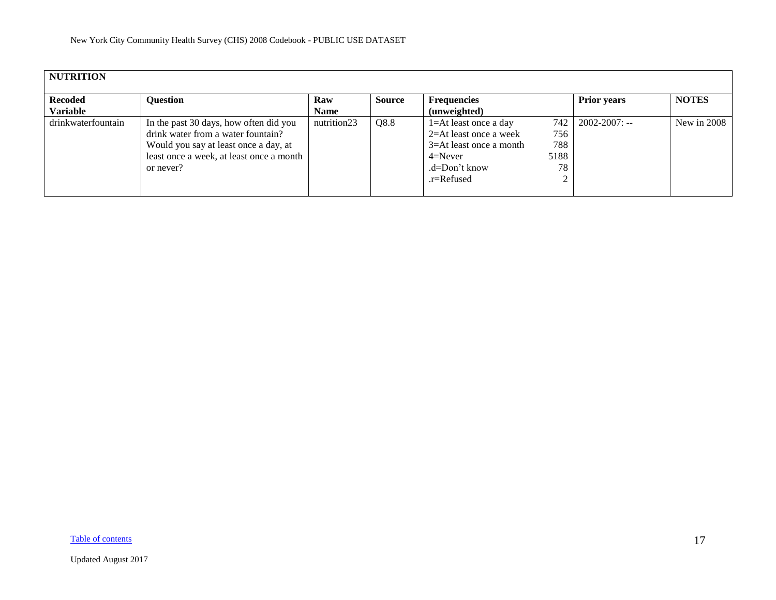| <b>NUTRITION</b>           |                                                                                                                                                                                |                    |               |                                                                                                                                         |                          |                             |              |  |  |  |
|----------------------------|--------------------------------------------------------------------------------------------------------------------------------------------------------------------------------|--------------------|---------------|-----------------------------------------------------------------------------------------------------------------------------------------|--------------------------|-----------------------------|--------------|--|--|--|
| <b>Recoded</b><br>Variable | <b>Question</b>                                                                                                                                                                | Raw<br><b>Name</b> | <b>Source</b> | <b>Frequencies</b><br>(unweighted)                                                                                                      |                          | <b>Prior years</b>          | <b>NOTES</b> |  |  |  |
| drinkwaterfountain         | In the past 30 days, how often did you<br>drink water from a water fountain?<br>Would you say at least once a day, at<br>least once a week, at least once a month<br>or never? | nutrition23        | Q8.8          | $1 = At$ least once a day<br>$2=At$ least once a week<br>$3 = At$ least once a month<br>$4 =$ Never<br>$d=Don't know$<br>$.r =$ Refused | 756<br>788<br>5188<br>78 | $742 \mid 2002 - 2007$ : -- | New in 2008  |  |  |  |

[Table of contents](#page-0-0)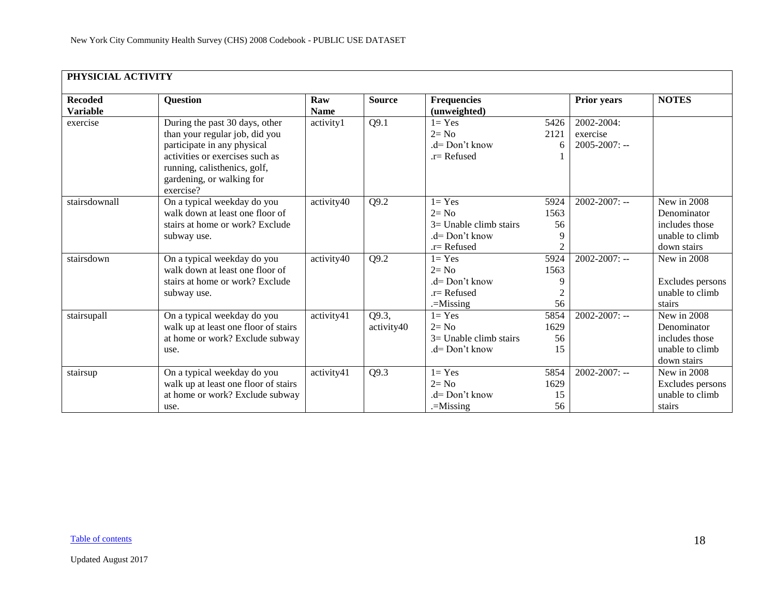<span id="page-17-0"></span>

| PHYSICIAL ACTIVITY                |                                                                                                                                                                                                              |                    |                     |                                                                                      |                                          |                                              |                                                                                |
|-----------------------------------|--------------------------------------------------------------------------------------------------------------------------------------------------------------------------------------------------------------|--------------------|---------------------|--------------------------------------------------------------------------------------|------------------------------------------|----------------------------------------------|--------------------------------------------------------------------------------|
| <b>Recoded</b><br><b>Variable</b> | <b>Question</b>                                                                                                                                                                                              | Raw<br><b>Name</b> | <b>Source</b>       | <b>Frequencies</b><br>(unweighted)                                                   |                                          | <b>Prior years</b>                           | <b>NOTES</b>                                                                   |
| exercise                          | During the past 30 days, other<br>than your regular job, did you<br>participate in any physical<br>activities or exercises such as<br>running, calisthenics, golf,<br>gardening, or walking for<br>exercise? | activity1          | Q9.1                | $1 = Yes$<br>$2 = No$<br>$d=Don't know$<br>$.r=$ Refused                             | 5426<br>2121                             | 2002-2004:<br>exercise<br>$2005 - 2007$ : -- |                                                                                |
| stairsdownall                     | On a typical weekday do you<br>walk down at least one floor of<br>stairs at home or work? Exclude<br>subway use.                                                                                             | activity40         | Q9.2                | $1 = Yes$<br>$2 = No$<br>$3=$ Unable climb stairs<br>.d= Don't know<br>$r =$ Refused | 5924<br>1563<br>56<br>9<br>$\mathcal{L}$ | $2002 - 2007$ : --                           | New in 2008<br>Denominator<br>includes those<br>unable to climb<br>down stairs |
| stairsdown                        | On a typical weekday do you<br>walk down at least one floor of<br>stairs at home or work? Exclude<br>subway use.                                                                                             | activity40         | Q9.2                | $1 = Yes$<br>$2 = No$<br>$d = Don't know$<br>$r =$ Refused<br>.=Missing              | 5924<br>1563<br>9<br>56                  | $2002 - 2007$ : --                           | New in 2008<br>Excludes persons<br>unable to climb<br>stairs                   |
| stairsupall                       | On a typical weekday do you<br>walk up at least one floor of stairs<br>at home or work? Exclude subway<br>use.                                                                                               | activity41         | Q9.3,<br>activity40 | $1 = Yes$<br>$2 = No$<br>$3=$ Unable climb stairs<br>.d= Don't know                  | 5854<br>1629<br>56<br>15                 | $2002 - 2007$ : --                           | New in 2008<br>Denominator<br>includes those<br>unable to climb<br>down stairs |
| stairsup                          | On a typical weekday do you<br>walk up at least one floor of stairs<br>at home or work? Exclude subway<br>use.                                                                                               | activity41         | Q9.3                | $1 = Yes$<br>$2 = No$<br>.d= Don't know<br>$=$ Missing                               | 5854<br>1629<br>15<br>56                 | $2002 - 2007$ : --                           | New in 2008<br>Excludes persons<br>unable to climb<br>stairs                   |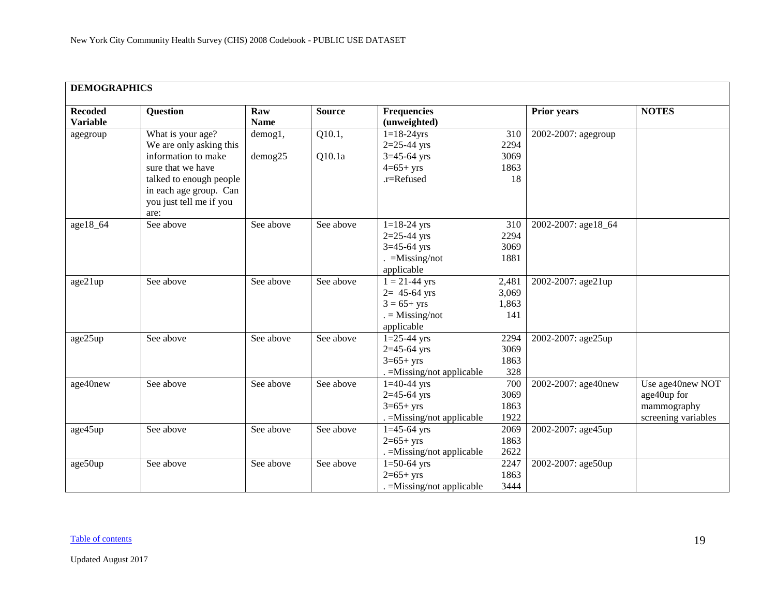<span id="page-18-0"></span>

| <b>DEMOGRAPHICS</b>               |                                                                                                                                                                                  |                    |                  |                                                                                           |                                   |                     |                                                                       |  |  |  |
|-----------------------------------|----------------------------------------------------------------------------------------------------------------------------------------------------------------------------------|--------------------|------------------|-------------------------------------------------------------------------------------------|-----------------------------------|---------------------|-----------------------------------------------------------------------|--|--|--|
| <b>Recoded</b><br><b>Variable</b> | Question                                                                                                                                                                         | Raw<br><b>Name</b> | <b>Source</b>    | <b>Frequencies</b><br>(unweighted)                                                        |                                   | <b>Prior years</b>  | <b>NOTES</b>                                                          |  |  |  |
| agegroup                          | What is your age?<br>We are only asking this<br>information to make<br>sure that we have<br>talked to enough people<br>in each age group. Can<br>you just tell me if you<br>are: | demog1,<br>demog25 | Q10.1,<br>Q10.1a | $1 = 18 - 24$ yrs<br>$2=25-44$ yrs<br>$3=45-64$ yrs<br>$4=65+yrs$<br>.r=Refused           | 310<br>2294<br>3069<br>1863<br>18 | 2002-2007: agegroup |                                                                       |  |  |  |
| age18_64                          | See above                                                                                                                                                                        | See above          | See above        | $1 = 18 - 24$ yrs<br>$2=25-44$ yrs<br>$3=45-64$ yrs<br>$=$ Missing/not<br>applicable      | 310<br>2294<br>3069<br>1881       | 2002-2007: age18_64 |                                                                       |  |  |  |
| age21up                           | See above                                                                                                                                                                        | See above          | See above        | $1 = 21 - 44$ yrs<br>$2 = 45 - 64$ yrs<br>$3 = 65 + yrs$<br>$=$ Missing/not<br>applicable | 2,481<br>3,069<br>1,863<br>141    | 2002-2007: age21up  |                                                                       |  |  |  |
| age25up                           | See above                                                                                                                                                                        | See above          | See above        | $1=25-44$ yrs<br>$2=45-64$ yrs<br>$3=65+yrs$<br>. = Missing/not applicable                | 2294<br>3069<br>1863<br>328       | 2002-2007: age25up  |                                                                       |  |  |  |
| age40new                          | See above                                                                                                                                                                        | See above          | See above        | $1=40-44$ yrs<br>$2=45-64$ yrs<br>$3=65+yrs$<br>. = Missing/not applicable                | 700<br>3069<br>1863<br>1922       | 2002-2007: age40new | Use age40new NOT<br>age40up for<br>mammography<br>screening variables |  |  |  |
| age45up                           | See above                                                                                                                                                                        | See above          | See above        | $1 = 45 - 64$ yrs<br>$2=65+yrs$<br>. = Missing/not applicable                             | 2069<br>1863<br>2622              | 2002-2007: age45up  |                                                                       |  |  |  |
| age50up                           | See above                                                                                                                                                                        | See above          | See above        | $1=50-64$ yrs<br>$2=65+yrs$<br>. = Missing/not applicable                                 | 2247<br>1863<br>3444              | 2002-2007: age50up  |                                                                       |  |  |  |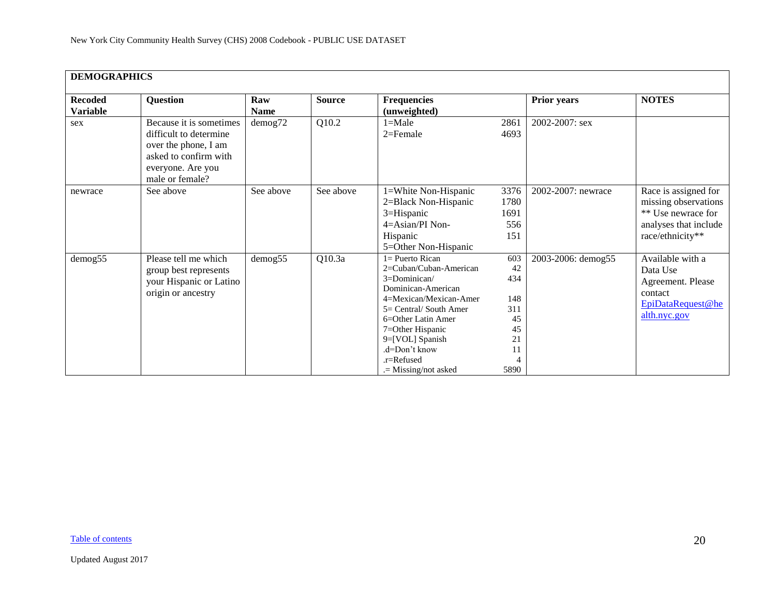| <b>DEMOGRAPHICS</b>               |                                                                                                                                            |                    |               |                                                                                                                                                                                                                                                             |                                                                |                    |                                                                                                                 |
|-----------------------------------|--------------------------------------------------------------------------------------------------------------------------------------------|--------------------|---------------|-------------------------------------------------------------------------------------------------------------------------------------------------------------------------------------------------------------------------------------------------------------|----------------------------------------------------------------|--------------------|-----------------------------------------------------------------------------------------------------------------|
| <b>Recoded</b><br><b>Variable</b> | <b>Question</b>                                                                                                                            | Raw<br><b>Name</b> | <b>Source</b> | <b>Frequencies</b><br>(unweighted)                                                                                                                                                                                                                          |                                                                | Prior years        | <b>NOTES</b>                                                                                                    |
| sex                               | Because it is sometimes<br>difficult to determine<br>over the phone, I am<br>asked to confirm with<br>everyone. Are you<br>male or female? | $d$ emog $72$      | Q10.2         | $1 = Male$<br>$2 =$ Female                                                                                                                                                                                                                                  | 2861<br>4693                                                   | 2002-2007: sex     |                                                                                                                 |
| newrace                           | See above                                                                                                                                  | See above          | See above     | 1=White Non-Hispanic<br>2=Black Non-Hispanic<br>3=Hispanic<br>$4 = Asian/PI$ Non-<br>Hispanic<br>5=Other Non-Hispanic                                                                                                                                       | 3376<br>1780<br>1691<br>556<br>151                             | 2002-2007: newrace | Race is assigned for<br>missing observations<br>** Use newrace for<br>analyses that include<br>race/ethnicity** |
| demog55                           | Please tell me which<br>group best represents<br>your Hispanic or Latino<br>origin or ancestry                                             | demog55            | Q10.3a        | $l =$ Puerto Rican<br>2=Cuban/Cuban-American<br>3=Dominican/<br>Dominican-American<br>4=Mexican/Mexican-Amer<br>5= Central/ South Amer<br>6=Other Latin Amer<br>7=Other Hispanic<br>9=[VOL] Spanish<br>.d=Don't know<br>.r=Refused<br>$=$ Missing/not asked | 603<br>42<br>434<br>148<br>311<br>45<br>45<br>21<br>11<br>5890 | 2003-2006: demog55 | Available with a<br>Data Use<br>Agreement. Please<br>contact<br>EpiDataRequest@he<br>alth.nyc.gov               |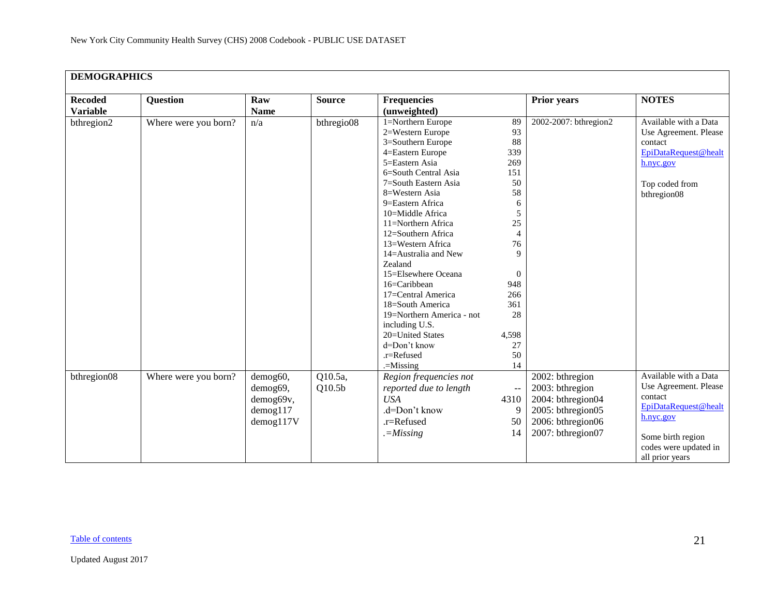|                 | <b>DEMOGRAPHICS</b>  |                |                    |                                 |                   |                       |                       |  |  |  |  |
|-----------------|----------------------|----------------|--------------------|---------------------------------|-------------------|-----------------------|-----------------------|--|--|--|--|
| <b>Recoded</b>  | <b>Question</b>      | Raw            | <b>Source</b>      | <b>Frequencies</b>              |                   | <b>Prior years</b>    | <b>NOTES</b>          |  |  |  |  |
| <b>Variable</b> |                      | <b>Name</b>    |                    | (unweighted)                    |                   |                       |                       |  |  |  |  |
| bthregion2      | Where were you born? | n/a            | bthregio08         | 1=Northern Europe               | 89                | 2002-2007: bthregion2 | Available with a Data |  |  |  |  |
|                 |                      |                |                    | 2=Western Europe                | 93                |                       | Use Agreement. Please |  |  |  |  |
|                 |                      |                |                    | 3=Southern Europe               | 88                |                       | contact               |  |  |  |  |
|                 |                      |                |                    | 4=Eastern Europe                | 339               |                       | EpiDataRequest@healt  |  |  |  |  |
|                 |                      |                |                    | 5=Eastern Asia                  | 269               |                       | h.nyc.gov             |  |  |  |  |
|                 |                      |                |                    | 6=South Central Asia            | 151               |                       |                       |  |  |  |  |
|                 |                      |                |                    | 7=South Eastern Asia            | 50                |                       | Top coded from        |  |  |  |  |
|                 |                      |                |                    | 8=Western Asia                  | 58                |                       | bthregion08           |  |  |  |  |
|                 |                      |                |                    | 9=Eastern Africa                | 6                 |                       |                       |  |  |  |  |
|                 |                      |                |                    | 10=Middle Africa                | 5                 |                       |                       |  |  |  |  |
|                 |                      |                |                    | 11=Northern Africa              | 25                |                       |                       |  |  |  |  |
|                 |                      |                |                    | 12=Southern Africa              | $\overline{4}$    |                       |                       |  |  |  |  |
|                 |                      |                |                    | 13=Western Africa               | 76<br>$\mathbf Q$ |                       |                       |  |  |  |  |
|                 |                      |                |                    | 14=Australia and New<br>Zealand |                   |                       |                       |  |  |  |  |
|                 |                      |                |                    | 15=Elsewhere Oceana             | $\mathbf{0}$      |                       |                       |  |  |  |  |
|                 |                      |                |                    | 16=Caribbean                    | 948               |                       |                       |  |  |  |  |
|                 |                      |                |                    | 17=Central America              | 266               |                       |                       |  |  |  |  |
|                 |                      |                |                    | 18=South America                | 361               |                       |                       |  |  |  |  |
|                 |                      |                |                    | 19=Northern America - not       | 28                |                       |                       |  |  |  |  |
|                 |                      |                |                    | including U.S.                  |                   |                       |                       |  |  |  |  |
|                 |                      |                |                    | 20=United States                | 4,598             |                       |                       |  |  |  |  |
|                 |                      |                |                    | d=Don't know                    | 27                |                       |                       |  |  |  |  |
|                 |                      |                |                    | .r=Refused                      | 50                |                       |                       |  |  |  |  |
|                 |                      |                |                    | $=$ Missing                     | 14                |                       |                       |  |  |  |  |
| bthregion08     | Where were you born? | demog60,       | Q10.5a,            | Region frequencies not          |                   | 2002: bthregion       | Available with a Data |  |  |  |  |
|                 |                      | demog69,       | Q10.5 <sub>b</sub> | reported due to length          | $- \, -$          | 2003: bthregion       | Use Agreement. Please |  |  |  |  |
|                 |                      | demog69v,      |                    | <b>USA</b>                      | 4310              | 2004: bthregion04     | contact               |  |  |  |  |
|                 |                      | $d$ emog $117$ |                    | .d=Don't know                   | 9                 | 2005: bthregion05     | EpiDataRequest@healt  |  |  |  |  |
|                 |                      |                |                    |                                 |                   |                       | h.nyc.gov             |  |  |  |  |
|                 |                      | demog117V      |                    | .r=Refused                      | 50                | 2006: bthregion06     |                       |  |  |  |  |
|                 |                      |                |                    | $=-Missing$                     | 14                | 2007: bthregion07     | Some birth region     |  |  |  |  |
|                 |                      |                |                    |                                 |                   |                       | codes were updated in |  |  |  |  |
|                 |                      |                |                    |                                 |                   |                       | all prior years       |  |  |  |  |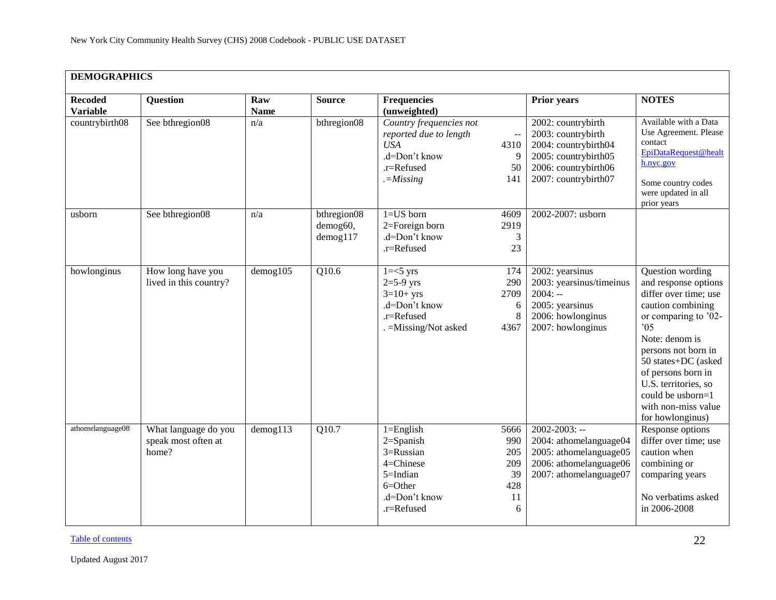|                                   | <b>DEMOGRAPHICS</b>                                  |                    |                                           |                                                                                                                                                        |                                                                                                                                                     |                                                                                                                                                                                                                                                                                                    |  |  |  |  |
|-----------------------------------|------------------------------------------------------|--------------------|-------------------------------------------|--------------------------------------------------------------------------------------------------------------------------------------------------------|-----------------------------------------------------------------------------------------------------------------------------------------------------|----------------------------------------------------------------------------------------------------------------------------------------------------------------------------------------------------------------------------------------------------------------------------------------------------|--|--|--|--|
| <b>Recoded</b><br><b>Variable</b> | <b>Question</b>                                      | Raw<br><b>Name</b> | <b>Source</b>                             | <b>Frequencies</b><br>(unweighted)                                                                                                                     | <b>Prior years</b>                                                                                                                                  | <b>NOTES</b>                                                                                                                                                                                                                                                                                       |  |  |  |  |
| countrybirth $\overline{08}$      | See bthregion08                                      | n/a                | bthregion08                               | Country frequencies not<br>reported due to length<br><b>USA</b><br>4310<br>.d=Don't know<br>.r=Refused<br>$=-M$ <i>issing</i><br>141                   | 2002: countrybirth<br>2003: countrybirth<br>2004: countrybirth04<br>9<br>2005: countrybirth05<br>2006: countrybirth06<br>50<br>2007: countrybirth07 | Available with a Data<br>Use Agreement. Please<br>contact<br>EpiDataRequest@healt<br>h.nyc.gov<br>Some country codes<br>were updated in all<br>prior years                                                                                                                                         |  |  |  |  |
| usborn                            | See bthregion08                                      | n/a                | bthregion08<br>demog60,<br>$d$ emog $117$ | $1 = US$ born<br>4609<br>2=Foreign born<br>2919<br>.d=Don't know<br>.r=Refused                                                                         | 2002-2007: usborn<br>$\mathfrak{Z}$<br>23                                                                                                           |                                                                                                                                                                                                                                                                                                    |  |  |  |  |
| howlonginus                       | How long have you<br>lived in this country?          | $d$ emog $105$     | Q10.6                                     | $1 = < 5$ yrs<br>174<br>$2=5-9$ yrs<br>290<br>$3=10+$ yrs<br>2709<br>.d=Don't know<br>.r=Refused<br>. = Missing/Not asked<br>4367                      | 2002: yearsinus<br>2003: yearsinus/timeinus<br>$2004: -$<br>2005: yearsinus<br>6<br>2006: howlonginus<br>8<br>2007: howlonginus                     | Question wording<br>and response options<br>differ over time; use<br>caution combining<br>or comparing to '02-<br>05<br>Note: denom is<br>persons not born in<br>50 states+DC (asked<br>of persons born in<br>U.S. territories, so<br>could be usborn=1<br>with non-miss value<br>for howlonginus) |  |  |  |  |
| athomelanguage08                  | What language do you<br>speak most often at<br>home? | $d$ emog113        | Q10.7                                     | $1 =$ English<br>5666<br>$2 =$ Spanish<br>990<br>3=Russian<br>205<br>4=Chinese<br>209<br>5=Indian<br>428<br>$6 = Other$<br>.d=Don't know<br>.r=Refused | $2002 - 2003$ : --<br>2004: athomelanguage04<br>2005: athomelanguage05<br>2006: athomelanguage06<br>39<br>2007: athomelanguage07<br>11<br>6         | Response options<br>differ over time; use<br>caution when<br>combining or<br>comparing years<br>No verbatims asked<br>in 2006-2008                                                                                                                                                                 |  |  |  |  |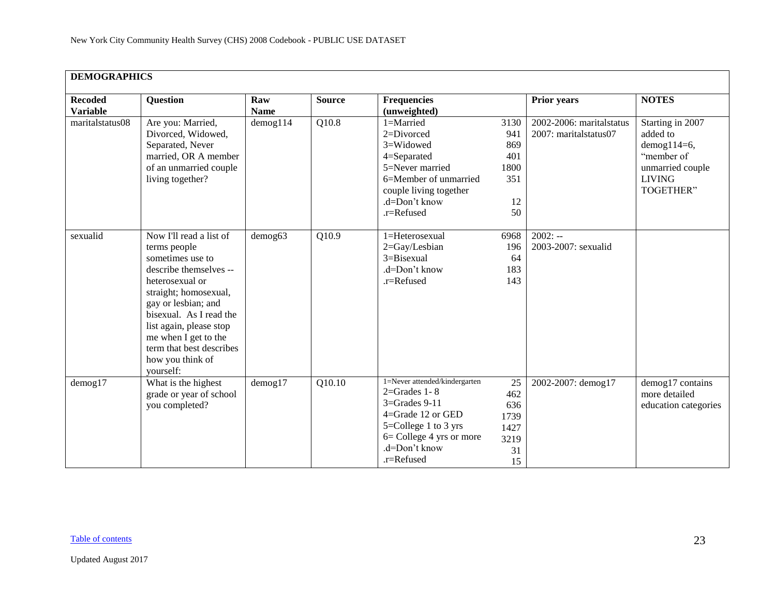| <b>DEMOGRAPHICS</b>               |                                                                                                                                                                                                                                                                                                     |                    |               |                                                                                                                                                                                    |                                                      |                                                   |                                                                                                                    |
|-----------------------------------|-----------------------------------------------------------------------------------------------------------------------------------------------------------------------------------------------------------------------------------------------------------------------------------------------------|--------------------|---------------|------------------------------------------------------------------------------------------------------------------------------------------------------------------------------------|------------------------------------------------------|---------------------------------------------------|--------------------------------------------------------------------------------------------------------------------|
| <b>Recoded</b><br><b>Variable</b> | <b>Question</b>                                                                                                                                                                                                                                                                                     | Raw<br><b>Name</b> | <b>Source</b> | <b>Frequencies</b><br>(unweighted)                                                                                                                                                 |                                                      | <b>Prior years</b>                                | <b>NOTES</b>                                                                                                       |
| maritalstatus08                   | Are you: Married,<br>Divorced, Widowed,<br>Separated, Never<br>married, OR A member<br>of an unmarried couple<br>living together?                                                                                                                                                                   | $d$ emog $114$     | Q10.8         | 1=Married<br>2=Divorced<br>3=Widowed<br>4=Separated<br>5=Never married<br>6=Member of unmarried<br>couple living together<br>.d=Don't know<br>.r=Refused                           | 3130<br>941<br>869<br>401<br>1800<br>351<br>12<br>50 | 2002-2006: maritalstatus<br>2007: maritalstatus07 | Starting in 2007<br>added to<br>$d$ emog $114=6$ ,<br>"member of<br>unmarried couple<br><b>LIVING</b><br>TOGETHER" |
| sexualid                          | Now I'll read a list of<br>terms people<br>sometimes use to<br>describe themselves --<br>heterosexual or<br>straight; homosexual,<br>gay or lesbian; and<br>bisexual. As I read the<br>list again, please stop<br>me when I get to the<br>term that best describes<br>how you think of<br>yourself: | demog63            | Q10.9         | 1=Heterosexual<br>2=Gay/Lesbian<br>3=Bisexual<br>.d=Don't know<br>.r=Refused                                                                                                       | 6968<br>196<br>64<br>183<br>143                      | $2002: -$<br>2003-2007: sexualid                  |                                                                                                                    |
| $d$ emog $17$                     | What is the highest<br>grade or year of school<br>you completed?                                                                                                                                                                                                                                    | $d$ emog17         | Q10.10        | 1=Never attended/kindergarten<br>$2 =$ Grades 1 - 8<br>$3 =$ Grades $9-11$<br>4=Grade 12 or GED<br>5=College 1 to 3 yrs<br>6= College 4 yrs or more<br>.d=Don't know<br>.r=Refused | 25<br>462<br>636<br>1739<br>1427<br>3219<br>31<br>15 | 2002-2007: demog17                                | demog17 contains<br>more detailed<br>education categories                                                          |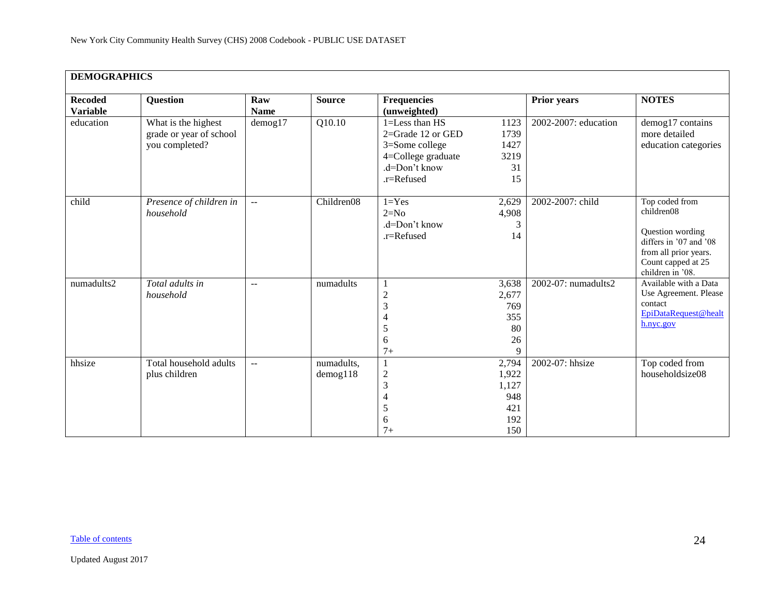| <b>DEMOGRAPHICS</b>               |                                                                  |                    |                              |                                                                                                            |                                                     |                      |                                                                                                                                               |
|-----------------------------------|------------------------------------------------------------------|--------------------|------------------------------|------------------------------------------------------------------------------------------------------------|-----------------------------------------------------|----------------------|-----------------------------------------------------------------------------------------------------------------------------------------------|
| <b>Recoded</b><br><b>Variable</b> | <b>Question</b>                                                  | Raw<br><b>Name</b> | <b>Source</b>                | <b>Frequencies</b><br>(unweighted)                                                                         |                                                     | <b>Prior years</b>   | <b>NOTES</b>                                                                                                                                  |
| education                         | What is the highest<br>grade or year of school<br>you completed? | $d$ emog17         | Q10.10                       | 1=Less than HS<br>2=Grade 12 or GED<br>3=Some college<br>4=College graduate<br>.d=Don't know<br>.r=Refused | 1123<br>1739<br>1427<br>3219<br>31<br>15            | 2002-2007: education | demog17 contains<br>more detailed<br>education categories                                                                                     |
| child                             | Presence of children in<br>household                             | $\sim$ $\sim$      | Children08                   | $1 = Yes$<br>$2=N0$<br>.d=Don't know<br>.r=Refused                                                         | 2,629<br>4,908<br>3<br>14                           | 2002-2007: child     | Top coded from<br>children08<br>Question wording<br>differs in '07 and '08<br>from all prior years.<br>Count capped at 25<br>children in '08. |
| numadults2                        | Total adults in<br>household                                     | $\sim$ $\sim$      | numadults                    | $\overline{c}$<br>3<br>4<br>5<br>6<br>$7+$                                                                 | 3,638<br>2,677<br>769<br>355<br>80<br>26<br>9       | 2002-07: numadults2  | Available with a Data<br>Use Agreement. Please<br>contact<br>EpiDataRequest@healt<br>h.nyc.gov                                                |
| hhsize                            | Total household adults<br>plus children                          | $\sim$ $\sim$      | numadults,<br>$d$ emog $118$ | $\mathbf{1}$<br>$\overline{c}$<br>3<br>$\overline{4}$<br>5<br>6<br>$7+$                                    | 2,794<br>1,922<br>1,127<br>948<br>421<br>192<br>150 | 2002-07: hhsize      | Top coded from<br>householdsize08                                                                                                             |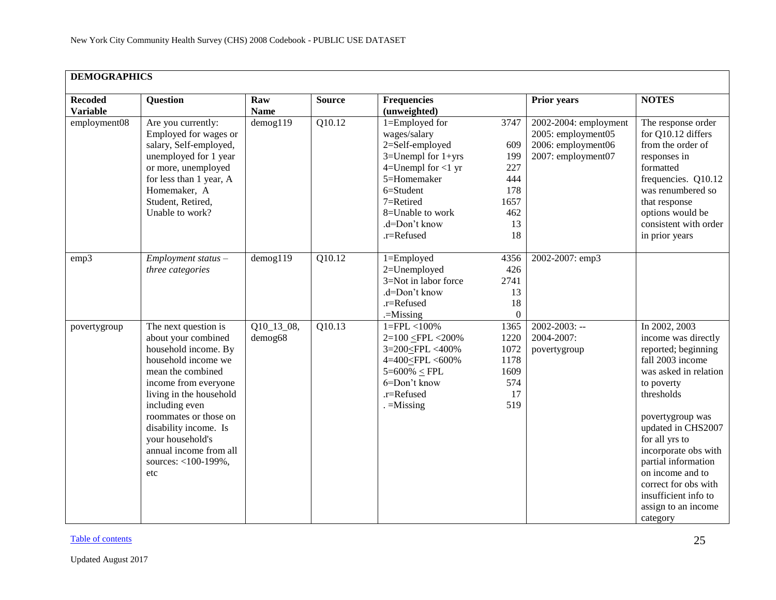|                                   | <b>DEMOGRAPHICS</b>                                                                                                                                                                                                                                                                                                |                         |               |                                                                                                                                                                                                       |                                                                                                                                                               |                                                                                                                                                                                                                                                                                                                                                        |  |  |  |  |  |  |
|-----------------------------------|--------------------------------------------------------------------------------------------------------------------------------------------------------------------------------------------------------------------------------------------------------------------------------------------------------------------|-------------------------|---------------|-------------------------------------------------------------------------------------------------------------------------------------------------------------------------------------------------------|---------------------------------------------------------------------------------------------------------------------------------------------------------------|--------------------------------------------------------------------------------------------------------------------------------------------------------------------------------------------------------------------------------------------------------------------------------------------------------------------------------------------------------|--|--|--|--|--|--|
| <b>Recoded</b><br><b>Variable</b> | <b>Question</b>                                                                                                                                                                                                                                                                                                    | Raw<br><b>Name</b>      | <b>Source</b> | <b>Frequencies</b><br>(unweighted)                                                                                                                                                                    | <b>Prior years</b>                                                                                                                                            | <b>NOTES</b>                                                                                                                                                                                                                                                                                                                                           |  |  |  |  |  |  |
| employment08                      | Are you currently:<br>Employed for wages or<br>salary, Self-employed,<br>unemployed for 1 year<br>or more, unemployed<br>for less than 1 year, A<br>Homemaker, A<br>Student, Retired,<br>Unable to work?                                                                                                           | $d$ emog $119$          | Q10.12        | 1=Employed for<br>wages/salary<br>2=Self-employed<br>$3=$ Unempl for $1+$ yrs<br>$4=$ Unempl for $<$ 1 yr<br>5=Homemaker<br>6=Student<br>7=Retired<br>8=Unable to work<br>.d=Don't know<br>.r=Refused | 2002-2004: employment<br>3747<br>2005: employment05<br>2006: employment06<br>609<br>2007: employment07<br>199<br>227<br>444<br>178<br>1657<br>462<br>13<br>18 | The response order<br>for Q10.12 differs<br>from the order of<br>responses in<br>formatted<br>frequencies. Q10.12<br>was renumbered so<br>that response<br>options would be<br>consistent with order<br>in prior years                                                                                                                                 |  |  |  |  |  |  |
| emp3                              | Employment status -<br>three categories                                                                                                                                                                                                                                                                            | demog119                | Q10.12        | 1=Employed<br>2=Unemployed<br>3=Not in labor force<br>.d=Don't know<br>.r=Refused<br>$=$ Missing                                                                                                      | 2002-2007: emp3<br>4356<br>426<br>2741<br>13<br>18<br>$\Omega$                                                                                                |                                                                                                                                                                                                                                                                                                                                                        |  |  |  |  |  |  |
| povertygroup                      | The next question is<br>about your combined<br>household income. By<br>household income we<br>mean the combined<br>income from everyone<br>living in the household<br>including even<br>roommates or those on<br>disability income. Is<br>your household's<br>annual income from all<br>sources: <100-199%,<br>etc | $Q10_13_08,$<br>demog68 | Q10.13        | $1 = FPL < 100\%$<br>2=100 <fpl <200%<br="">3=200<fpl <400%<br="">4=400<fpl <600%<br="">5=600% <math>\le</math> FPL<br/>6=Don't know<br/>.r=Refused<br/><math>=</math>Missing</fpl></fpl></fpl>       | $2002 - 2003$ : --<br>1365<br>2004-2007:<br>1220<br>1072<br>povertygroup<br>1178<br>1609<br>574<br>17<br>519                                                  | In 2002, 2003<br>income was directly<br>reported; beginning<br>fall 2003 income<br>was asked in relation<br>to poverty<br>thresholds<br>povertygroup was<br>updated in CHS2007<br>for all yrs to<br>incorporate obs with<br>partial information<br>on income and to<br>correct for obs with<br>insufficient info to<br>assign to an income<br>category |  |  |  |  |  |  |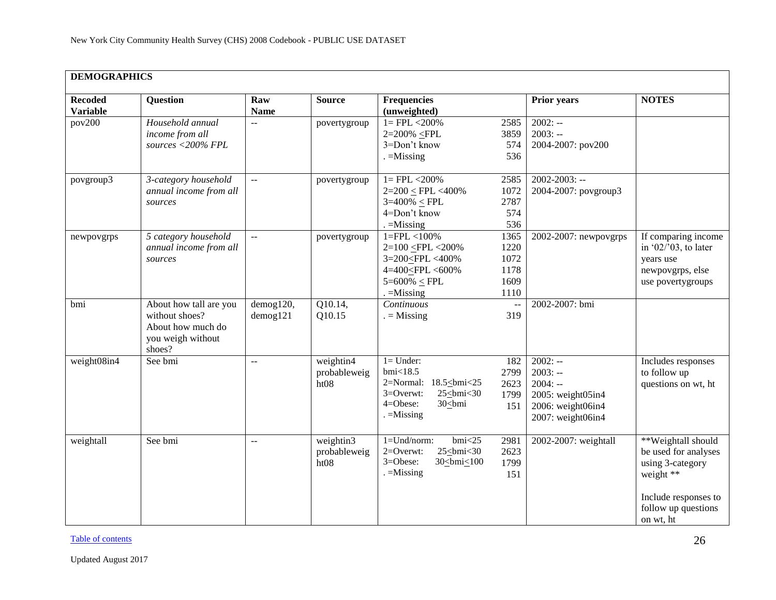| <b>DEMOGRAPHICS</b>               |                                                                                              |                             |                                   |                                                                                                                                                                    |                                              |                                                                                                    |                                                                                                                                         |
|-----------------------------------|----------------------------------------------------------------------------------------------|-----------------------------|-----------------------------------|--------------------------------------------------------------------------------------------------------------------------------------------------------------------|----------------------------------------------|----------------------------------------------------------------------------------------------------|-----------------------------------------------------------------------------------------------------------------------------------------|
| <b>Recoded</b><br><b>Variable</b> | <b>Question</b>                                                                              | Raw<br><b>Name</b>          | <b>Source</b>                     | <b>Frequencies</b><br>(unweighted)                                                                                                                                 |                                              | <b>Prior years</b>                                                                                 | <b>NOTES</b>                                                                                                                            |
| pov200                            | Household annual<br>income from all<br>sources <200% FPL                                     | $\overline{a}$              | povertygroup                      | $1 = FPL < 200\%$<br>2=200% <fpl<br>3=Don't know<br/><math>=</math>Missing</fpl<br>                                                                                | 2585<br>3859<br>574<br>536                   | $2002: -$<br>$2003: -$<br>2004-2007: pov200                                                        |                                                                                                                                         |
| povgroup3                         | 3-category household<br>annual income from all<br>sources                                    | $\mathbb{L}^{\mathbb{L}}$   | povertygroup                      | $1 = FPL < 200\%$<br>$2=200 \le FPL < 400\%$<br>$3=400\% \leq FPL$<br>4=Don't know<br>$=$ Missing                                                                  | 2585<br>1072<br>2787<br>574<br>536           | $2002 - 2003$ : --<br>2004-2007: povgroup3                                                         |                                                                                                                                         |
| newpovgrps                        | 5 category household<br>annual income from all<br>sources                                    | $\overline{a}$              | povertygroup                      | $1 = FPL < 100\%$<br>2=100 <fpl <200%<br="">3=200<fpl <400%<br="">4=400<fpl <600%<br=""><math>5 = 600\% \le FPL</math><br/><math>=</math>Missing</fpl></fpl></fpl> | 1365<br>1220<br>1072<br>1178<br>1609<br>1110 | 2002-2007: newpovgrps                                                                              | If comparing income<br>in '02/'03, to later<br>years use<br>newpovgrps, else<br>use povertygroups                                       |
| bmi                               | About how tall are you<br>without shoes?<br>About how much do<br>you weigh without<br>shoes? | demog120,<br>$d$ emog $121$ | Q10.14,<br>Q10.15                 | Continuous<br>$=$ Missing                                                                                                                                          | 319                                          | 2002-2007: bmi                                                                                     |                                                                                                                                         |
| weight08in4                       | See bmi                                                                                      | Ξ.                          | weightin4<br>probableweig<br>ht08 | $l =$ Under:<br>bmi<18.5<br>2=Normal: 18.5<br>>bmi<25<br>3=Overwt:<br>$25 \leq bmi < 30$<br>                                                                       | 182<br>2799<br>2623<br>1799<br>151           | $2002: -$<br>$2003: -$<br>$2004: -$<br>2005: weight05in4<br>2006: weight06in4<br>2007: weight06in4 | Includes responses<br>to follow up<br>questions on wt, ht                                                                               |
| weightall                         | See bmi                                                                                      | $-$                         | weightin3<br>probableweig<br>ht08 | $1 = Und/norm$ :<br>bmi < 25<br>$25 \leq bmi < 30$<br>$2=0$ verwt:<br>3=Obese:<br>30<br><br><u><br/>00</u><br>$=$ Missing                                          | 2981<br>2623<br>1799<br>151                  | 2002-2007: weightall                                                                               | **Weightall should<br>be used for analyses<br>using 3-category<br>weight **<br>Include responses to<br>follow up questions<br>on wt, ht |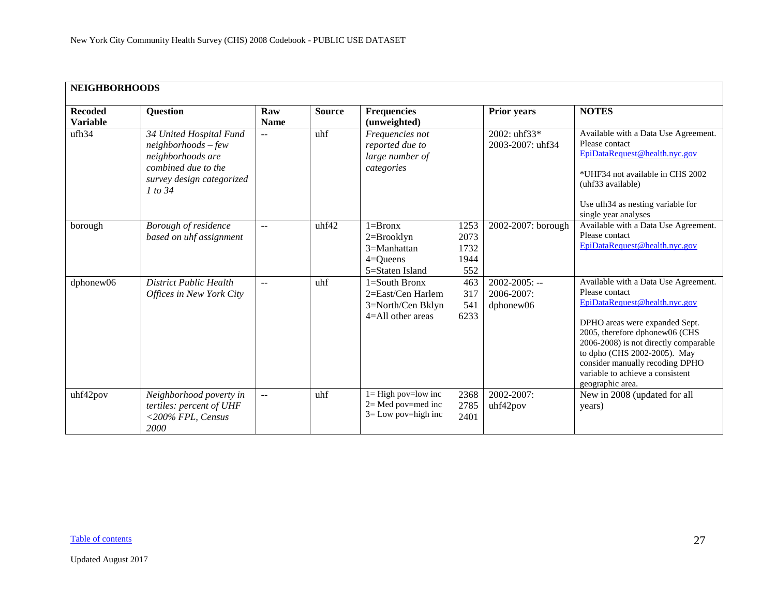<span id="page-26-0"></span>

| <b>NEIGHBORHOODS</b>              |                                                                                                                                       |                       |               |                                                                                      |                                     |                                                    |                                                                                                                                                                                                                                                                                                                                 |
|-----------------------------------|---------------------------------------------------------------------------------------------------------------------------------------|-----------------------|---------------|--------------------------------------------------------------------------------------|-------------------------------------|----------------------------------------------------|---------------------------------------------------------------------------------------------------------------------------------------------------------------------------------------------------------------------------------------------------------------------------------------------------------------------------------|
| <b>Recoded</b><br><b>Variable</b> | <b>Question</b>                                                                                                                       | Raw<br><b>Name</b>    | <b>Source</b> | Frequencies<br>(unweighted)                                                          |                                     | <b>Prior years</b>                                 | <b>NOTES</b>                                                                                                                                                                                                                                                                                                                    |
| ufh34                             | 34 United Hospital Fund<br>$neighbourhoods$ – few<br>neighborhoods are<br>combined due to the<br>survey design categorized<br>1 to 34 | $\mathbf{u}$          | uhf           | Frequencies not<br>reported due to<br>large number of<br>categories                  |                                     | 2002: uhf33*<br>2003-2007: uhf34                   | Available with a Data Use Agreement.<br>Please contact<br>EpiDataRequest@health.nyc.gov<br>*UHF34 not available in CHS 2002<br>(uhf33 available)<br>Use ufh34 as nesting variable for<br>single year analyses                                                                                                                   |
| borough                           | Borough of residence<br>based on uhf assignment                                                                                       | $\sim$ $\sim$         | uhf42         | $1 = Bronx$<br>$2=Brooklyn$<br>$3=Manhattan$<br>$4 =$ Queens<br>5=Staten Island      | 1253<br>2073<br>1732<br>1944<br>552 | 2002-2007: borough                                 | Available with a Data Use Agreement.<br>Please contact<br>EpiDataRequest@health.nyc.gov                                                                                                                                                                                                                                         |
| dphonew06                         | <b>District Public Health</b><br>Offices in New York City                                                                             | $\mathbf{u}$          | uhf           | $1 =$ South Bronx<br>2=East/Cen Harlem<br>3=North/Cen Bklyn<br>$4 =$ All other areas | 463<br>317<br>541<br>6233           | $2002 - 2005$ : --<br>$2006 - 2007$ :<br>dphonew06 | Available with a Data Use Agreement.<br>Please contact<br>EpiDataRequest@health.nyc.gov<br>DPHO areas were expanded Sept.<br>2005, therefore dphonew06 (CHS<br>2006-2008) is not directly comparable<br>to dpho (CHS 2002-2005). May<br>consider manually recoding DPHO<br>variable to achieve a consistent<br>geographic area. |
| uhf42pov                          | Neighborhood poverty in<br>tertiles: percent of UHF<br><200% FPL, Census<br>2000                                                      | $\mathcal{L}^{\perp}$ | uhf           | $l = High$ pov=low inc<br>$2=$ Med pov=med inc<br>$3 =$ Low pov=high inc             | 2368<br>2785<br>2401                | 2002-2007:<br>uhf42pov                             | New in 2008 (updated for all<br>years)                                                                                                                                                                                                                                                                                          |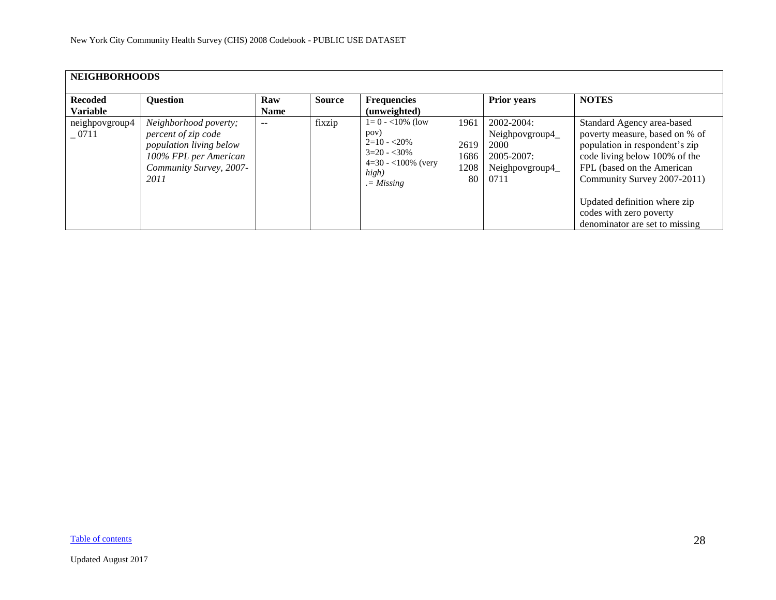| <b>NEIGHBORHOODS</b>      |                                                                                                                                     |             |               |                                                                                                               |                                    |                                                                                     |                                                                                                                                                                                              |  |  |  |  |  |
|---------------------------|-------------------------------------------------------------------------------------------------------------------------------------|-------------|---------------|---------------------------------------------------------------------------------------------------------------|------------------------------------|-------------------------------------------------------------------------------------|----------------------------------------------------------------------------------------------------------------------------------------------------------------------------------------------|--|--|--|--|--|
|                           |                                                                                                                                     |             |               |                                                                                                               |                                    |                                                                                     |                                                                                                                                                                                              |  |  |  |  |  |
| <b>Recoded</b>            | <b>Question</b>                                                                                                                     | Raw         | <b>Source</b> | <b>Frequencies</b>                                                                                            |                                    | <b>Prior years</b>                                                                  | <b>NOTES</b>                                                                                                                                                                                 |  |  |  |  |  |
| <b>Variable</b>           |                                                                                                                                     | <b>Name</b> |               | (unweighted)                                                                                                  |                                    |                                                                                     |                                                                                                                                                                                              |  |  |  |  |  |
| neighpovgroup4<br>$-0711$ | Neighborhood poverty;<br>percent of zip code<br>population living below<br>100% FPL per American<br>Community Survey, 2007-<br>2011 | $-$         | fixzip        | $1=0 - 10\%$ (low<br>pov)<br>$2=10 - 20\%$<br>$3=20 - 30\%$<br>$4=30 - 100\%$ (very<br>high)<br>$. = Missing$ | 1961<br>2619<br>1686<br>1208<br>80 | $2002 - 2004$ :<br>Neighpovgroup4_<br>2000<br>2005-2007:<br>Neighpovgroup4_<br>0711 | Standard Agency area-based<br>poverty measure, based on % of<br>population in respondent's zip<br>code living below 100% of the<br>FPL (based on the American<br>Community Survey 2007-2011) |  |  |  |  |  |
|                           |                                                                                                                                     |             |               |                                                                                                               |                                    |                                                                                     | Updated definition where zip<br>codes with zero poverty<br>denominator are set to missing                                                                                                    |  |  |  |  |  |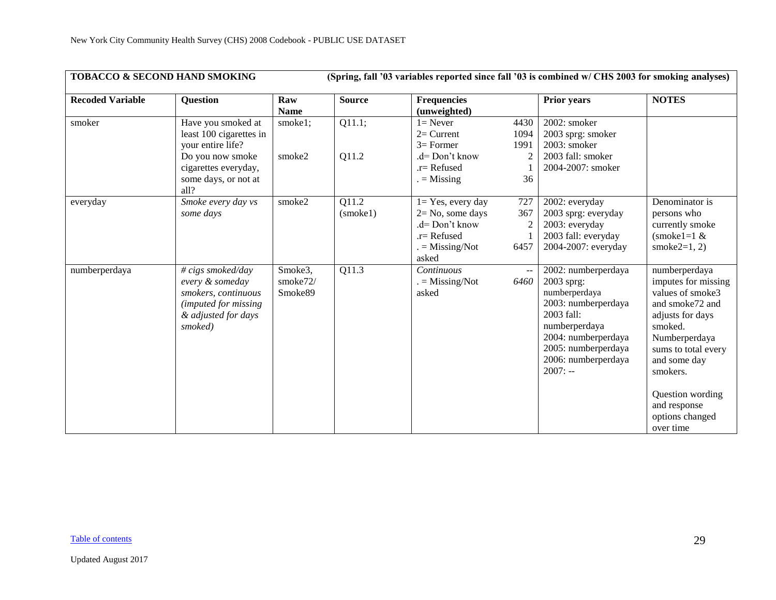<span id="page-28-0"></span>

| <b>TOBACCO &amp; SECOND HAND SMOKING</b> |                                                                                                                                                |                                |                   |                                                                                                               |                                              | (Spring, fall '03 variables reported since fall '03 is combined w/ CHS 2003 for smoking analyses)                                                                                          |                                                                                                                                                                                                                                                    |
|------------------------------------------|------------------------------------------------------------------------------------------------------------------------------------------------|--------------------------------|-------------------|---------------------------------------------------------------------------------------------------------------|----------------------------------------------|--------------------------------------------------------------------------------------------------------------------------------------------------------------------------------------------|----------------------------------------------------------------------------------------------------------------------------------------------------------------------------------------------------------------------------------------------------|
| <b>Recoded Variable</b>                  | <b>Question</b>                                                                                                                                | Raw<br><b>Name</b>             | <b>Source</b>     | <b>Frequencies</b><br>(unweighted)                                                                            |                                              | <b>Prior years</b>                                                                                                                                                                         | <b>NOTES</b>                                                                                                                                                                                                                                       |
| smoker                                   | Have you smoked at<br>least 100 cigarettes in<br>your entire life?<br>Do you now smoke<br>cigarettes everyday,<br>some days, or not at<br>all? | smoke1;<br>smoke2              | Q11.1;<br>Q11.2   | $1 =$ Never<br>$2=$ Current<br>$3=$ Former<br>.d= Don't know<br>$r =$ Refused<br>$ =$ Missing                 | 4430<br>1094<br>1991<br>$\overline{2}$<br>36 | 2002: smoker<br>2003 sprg: smoker<br>2003: smoker<br>2003 fall: smoker<br>2004-2007: smoker                                                                                                |                                                                                                                                                                                                                                                    |
| everyday                                 | Smoke every day vs<br>some days                                                                                                                | smoke2                         | 011.2<br>(smoke1) | $1 = Yes$ , every day<br>$2 = No$ , some days<br>.d= Don't know<br>$.r =$ Refused<br>$=$ Missing/Not<br>asked | 727<br>367<br>$\overline{2}$<br>6457         | 2002: everyday<br>2003 sprg: everyday<br>2003: everyday<br>2003 fall: everyday<br>2004-2007: everyday                                                                                      | Denominator is<br>persons who<br>currently smoke<br>$(smoke1=1 &$<br>smoke $2=1, 2$ )                                                                                                                                                              |
| numberperdaya                            | $\# \text{cigs smoked/day}$<br>every & someday<br>smokers, continuous<br><i>(imputed for missing)</i><br>& adjusted for days<br>smoked)        | Smoke3,<br>smoke72/<br>Smoke89 | Q11.3             | Continuous<br>$=$ Missing/Not<br>asked                                                                        | $\sim$ $\sim$<br>6460                        | 2002: numberperdaya<br>2003 sprg:<br>numberperdaya<br>2003: numberperdaya<br>2003 fall:<br>numberperdaya<br>2004: numberperdaya<br>2005: numberperdaya<br>2006: numberperdaya<br>$2007: -$ | numberperdaya<br>imputes for missing<br>values of smoke3<br>and smoke72 and<br>adjusts for days<br>smoked.<br>Numberperdaya<br>sums to total every<br>and some day<br>smokers.<br>Question wording<br>and response<br>options changed<br>over time |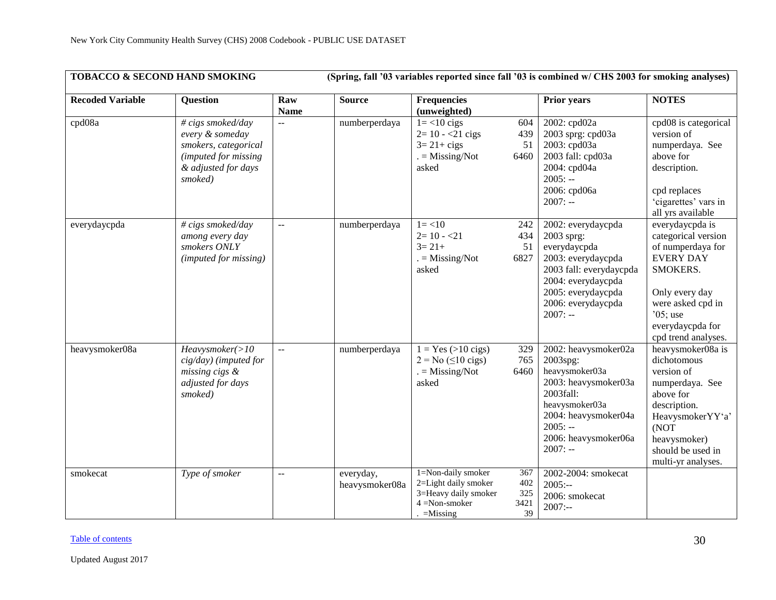|                         | <b>TOBACCO &amp; SECOND HAND SMOKING</b>                                                                               |                                               |                             |                                                                                                       |                                 | (Spring, fall '03 variables reported since fall '03 is combined w/ CHS 2003 for smoking analyses)                                                                                   |                                                                                                                                                                                             |
|-------------------------|------------------------------------------------------------------------------------------------------------------------|-----------------------------------------------|-----------------------------|-------------------------------------------------------------------------------------------------------|---------------------------------|-------------------------------------------------------------------------------------------------------------------------------------------------------------------------------------|---------------------------------------------------------------------------------------------------------------------------------------------------------------------------------------------|
| <b>Recoded Variable</b> | <b>Question</b>                                                                                                        | Raw<br><b>Name</b>                            | <b>Source</b>               | <b>Frequencies</b><br>(unweighted)                                                                    |                                 | <b>Prior years</b>                                                                                                                                                                  | <b>NOTES</b>                                                                                                                                                                                |
| cpd08a                  | # cigs smoked/day<br>every & someday<br>smokers, categorical<br>(imputed for missing<br>& adjusted for days<br>smoked) | $\overline{a}$                                | numberperdaya               | $1 = < 10$ cigs<br>$2 = 10 - 21$ cigs<br>$3=21+cigs$<br>$=$ Missing/Not<br>asked                      | 604<br>439<br>51<br>6460        | 2002: cpd02a<br>2003 sprg: cpd03a<br>2003: cpd03a<br>2003 fall: cpd03a<br>2004: cpd04a<br>$2005: -$<br>2006: cpd06a<br>$2007: -$                                                    | cpd08 is categorical<br>version of<br>numperdaya. See<br>above for<br>description.<br>cpd replaces<br>'cigarettes' vars in<br>all yrs available                                             |
| everydaycpda            | # cigs smoked/day<br>among every day<br>smokers ONLY<br>(imputed for missing)                                          | $\overline{a}$                                | numberperdaya               | $1 = < 10$<br>$2=10 - 21$<br>$3 = 21 +$<br>$=$ Missing/Not<br>asked                                   | 242<br>434<br>51<br>6827        | 2002: everydaycpda<br>2003 sprg:<br>everydaycpda<br>2003: everydaycpda<br>2003 fall: everydaycpda<br>2004: everydaycpda<br>2005: everydaycpda<br>2006: everydaycpda<br>$2007: -$    | everydaycpda is<br>categorical version<br>of numperdaya for<br><b>EVERY DAY</b><br>SMOKERS.<br>Only every day<br>were asked cpd in<br>$05$ ; use<br>everydaycpda for<br>cpd trend analyses. |
| heavysmoker08a          | Heavysmoker(>10<br>cig/day) (imputed for<br>missing cigs &<br>adjusted for days<br>smoked)                             | $-$                                           | numberperdaya               | $1 = Yes (>10 \text{ cigs})$<br>$2 = No \ (\leq 10 \text{ cigs})$<br>$=$ Missing/Not<br>asked         | 329<br>765<br>6460              | 2002: heavysmoker02a<br>2003spg:<br>heavysmoker03a<br>2003: heavysmoker03a<br>2003fall:<br>heavysmoker03a<br>2004: heavysmoker04a<br>$2005: -$<br>2006: heavysmoker06a<br>$2007: -$ | heavysmoker08a is<br>dichotomous<br>version of<br>numperdaya. See<br>above for<br>description.<br>HeavysmokerYY'a'<br>(NOT<br>heavysmoker)<br>should be used in<br>multi-yr analyses.       |
| smokecat                | Type of smoker                                                                                                         | $\mathord{\hspace{1pt}\text{--}\hspace{1pt}}$ | everyday,<br>heavysmoker08a | 1=Non-daily smoker<br>2=Light daily smoker<br>3=Heavy daily smoker<br>$4 = Non-smoker$<br>$=M$ issing | 367<br>402<br>325<br>3421<br>39 | 2002-2004: smokecat<br>$2005: -$<br>2006: smokecat<br>$2007: -$                                                                                                                     |                                                                                                                                                                                             |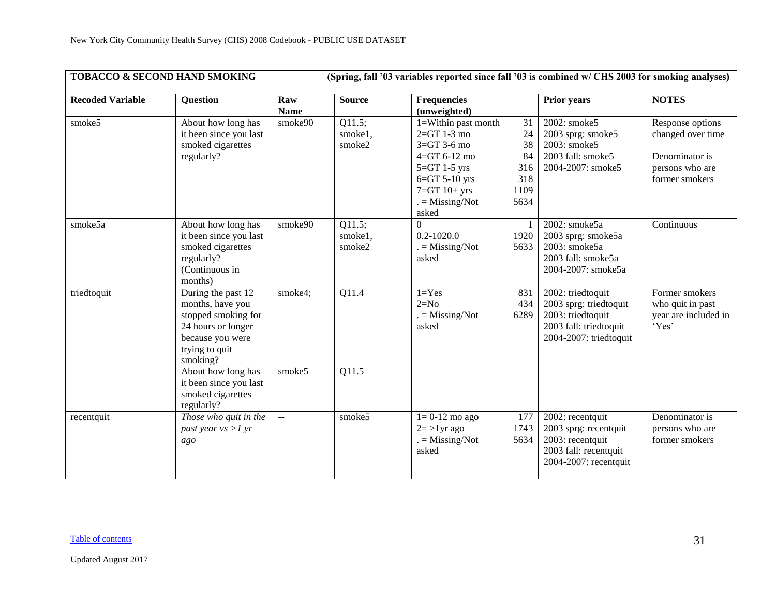| <b>TOBACCO &amp; SECOND HAND SMOKING</b> |                                                                                                                                                                                                                          |                             |                             | (Spring, fall '03 variables reported since fall '03 is combined w/ CHS 2003 for smoking analyses)                                                                       |                                                    |                                                                                                                         |                                                                                              |
|------------------------------------------|--------------------------------------------------------------------------------------------------------------------------------------------------------------------------------------------------------------------------|-----------------------------|-----------------------------|-------------------------------------------------------------------------------------------------------------------------------------------------------------------------|----------------------------------------------------|-------------------------------------------------------------------------------------------------------------------------|----------------------------------------------------------------------------------------------|
| <b>Recoded Variable</b>                  | <b>Question</b>                                                                                                                                                                                                          | Raw<br><b>Name</b>          | <b>Source</b>               | <b>Frequencies</b><br>(unweighted)                                                                                                                                      |                                                    | <b>Prior years</b>                                                                                                      | <b>NOTES</b>                                                                                 |
| smoke5                                   | About how long has<br>it been since you last<br>smoked cigarettes<br>regularly?                                                                                                                                          | smoke $90$                  | Q11.5;<br>smoke1,<br>smoke2 | 1=Within past month<br>$2 = GT 1-3$ mo<br>$3=GT$ 3-6 mo<br>$4 = GT 6 - 12$ mo<br>$5 = GT$ 1-5 yrs<br>$6 = GT 5-10$ yrs<br>$7 = GT 10 + yrs$<br>$=$ Missing/Not<br>asked | 31<br>24<br>38<br>84<br>316<br>318<br>1109<br>5634 | 2002: smoke5<br>2003 sprg: smoke5<br>2003: smoke5<br>2003 fall: smoke5<br>2004-2007: smoke5                             | Response options<br>changed over time<br>Denominator is<br>persons who are<br>former smokers |
| smoke5a                                  | About how long has<br>it been since you last<br>smoked cigarettes<br>regularly?<br>(Continuous in<br>months)                                                                                                             | smoke90                     | Q11.5;<br>smoke1,<br>smoke2 | $\boldsymbol{0}$<br>$0.2 - 1020.0$<br>$=$ Missing/Not<br>asked                                                                                                          | 1920<br>5633                                       | 2002: smoke5a<br>2003 sprg: smoke5a<br>2003: smoke5a<br>2003 fall: smoke5a<br>2004-2007: smoke5a                        | Continuous                                                                                   |
| triedtoquit                              | During the past 12<br>months, have you<br>stopped smoking for<br>24 hours or longer<br>because you were<br>trying to quit<br>smoking?<br>About how long has<br>it been since you last<br>smoked cigarettes<br>regularly? | smoke4;<br>smoke5           | Q11.4<br>Q11.5              | $1 = Yes$<br>$2=N0$<br>$=$ Missing/Not<br>asked                                                                                                                         | 831<br>434<br>6289                                 | $2002$ : triedtoquit<br>2003 sprg: triedtoquit<br>2003: triedtoquit<br>2003 fall: triedtoquit<br>2004-2007: triedtoquit | Former smokers<br>who quit in past<br>year are included in<br>'Yes'                          |
| recentquit                               | Those who quit in the<br>past year $vs > 1 yr$<br>ago                                                                                                                                                                    | $\mathcal{L}_{\mathcal{F}}$ | smoke5                      | $1=0-12$ mo ago<br>$2 = >1$ yr ago<br>$=$ Missing/Not<br>asked                                                                                                          | 177<br>1743<br>5634                                | 2002: recentquit<br>2003 sprg: recentquit<br>2003: recentquit<br>2003 fall: recentquit<br>2004-2007: recentquit         | Denominator is<br>persons who are<br>former smokers                                          |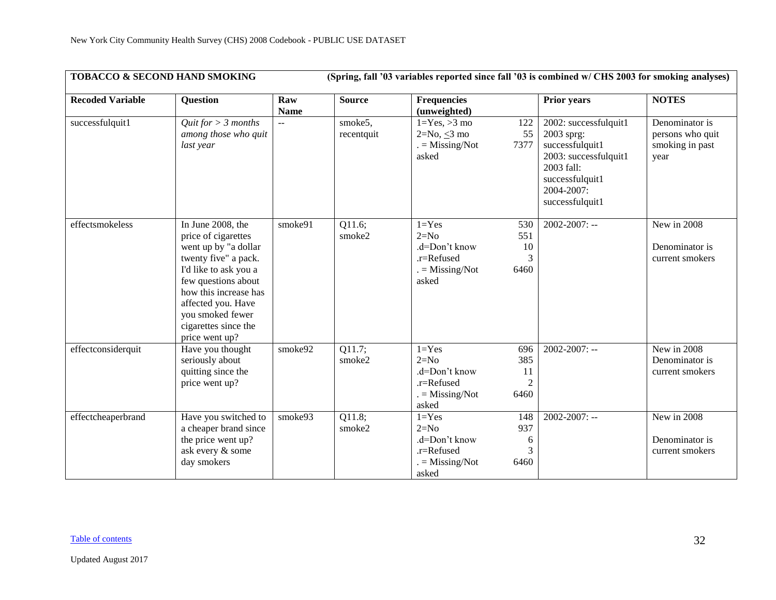| TOBACCO & SECOND HAND SMOKING<br>(Spring, fall '03 variables reported since fall '03 is combined w/ CHS 2003 for smoking analyses) |                                                                                                                                                                                                                                                       |                    |                       |                                                                                    |                                            |                                                                                                                                                   |                                                               |  |  |
|------------------------------------------------------------------------------------------------------------------------------------|-------------------------------------------------------------------------------------------------------------------------------------------------------------------------------------------------------------------------------------------------------|--------------------|-----------------------|------------------------------------------------------------------------------------|--------------------------------------------|---------------------------------------------------------------------------------------------------------------------------------------------------|---------------------------------------------------------------|--|--|
| <b>Recoded Variable</b>                                                                                                            | <b>Question</b>                                                                                                                                                                                                                                       | Raw<br><b>Name</b> | <b>Source</b>         | <b>Frequencies</b><br>(unweighted)                                                 |                                            | <b>Prior years</b>                                                                                                                                | <b>NOTES</b>                                                  |  |  |
| successfulquit1                                                                                                                    | Quit for $> 3$ months<br>among those who quit<br>last year                                                                                                                                                                                            | $\overline{a}$     | smoke5,<br>recentquit | $1 = Yes, >3$ mo<br>$2=No, <3 mo$<br>$=$ Missing/Not<br>asked                      | 122<br>55<br>7377                          | 2002: successfulquit1<br>2003 sprg:<br>successfulquit1<br>2003: successfulquit1<br>2003 fall:<br>successfulquit1<br>2004-2007:<br>successfulquit1 | Denominator is<br>persons who quit<br>smoking in past<br>year |  |  |
| effectsmokeless                                                                                                                    | In June 2008, the<br>price of cigarettes<br>went up by "a dollar<br>twenty five" a pack.<br>I'd like to ask you a<br>few questions about<br>how this increase has<br>affected you. Have<br>you smoked fewer<br>cigarettes since the<br>price went up? | smoke91            | Q11.6;<br>smoke2      | $1 = Yes$<br>$2=N0$<br>.d=Don't know<br>.r=Refused<br>$=$ Missing/Not<br>asked     | 530<br>551<br>10<br>3<br>6460              | $2002 - 2007$ : --                                                                                                                                | New in 2008<br>Denominator is<br>current smokers              |  |  |
| effectconsiderquit                                                                                                                 | Have you thought<br>seriously about<br>quitting since the<br>price went up?                                                                                                                                                                           | smoke92            | Q11.7;<br>smoke2      | $1 = Yes$<br>$2=N0$<br>.d=Don't know<br>$.r =$ Refused<br>$= Missing/Not$<br>asked | 696<br>385<br>11<br>$\overline{2}$<br>6460 | $2002 - 2007$ : --                                                                                                                                | New in 2008<br>Denominator is<br>current smokers              |  |  |
| effectcheaperbrand                                                                                                                 | Have you switched to<br>a cheaper brand since<br>the price went up?<br>ask every & some<br>day smokers                                                                                                                                                | smoke93            | Q11.8;<br>smoke2      | $1 = Yes$<br>$2=N0$<br>.d=Don't know<br>.r=Refused<br>$= Missing/Not$<br>asked     | 148<br>937<br>6<br>3<br>6460               | $2002 - 2007$ : --                                                                                                                                | New in 2008<br>Denominator is<br>current smokers              |  |  |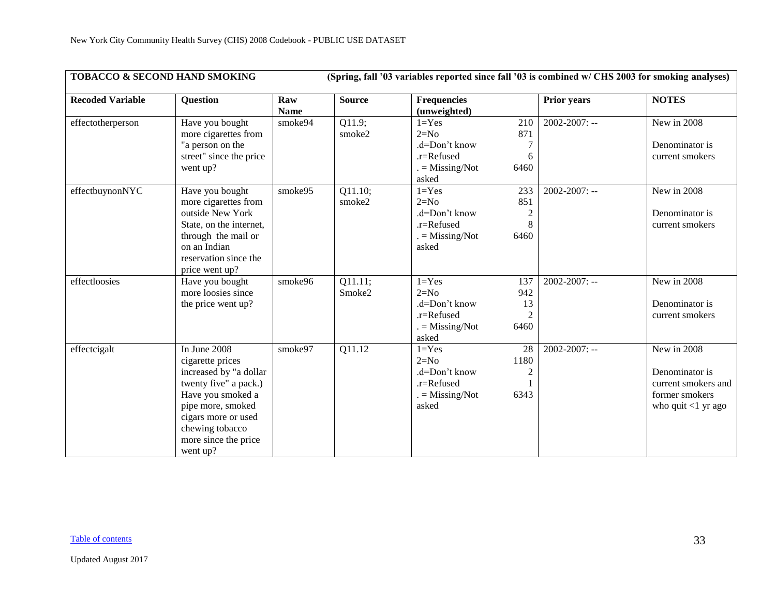| <b>TOBACCO &amp; SECOND HAND SMOKING</b> |                                                                                                                                                                                                             |                    |                   |                                                                                    |                                                   | (Spring, fall '03 variables reported since fall '03 is combined w/ CHS 2003 for smoking analyses) |                                                                                                 |
|------------------------------------------|-------------------------------------------------------------------------------------------------------------------------------------------------------------------------------------------------------------|--------------------|-------------------|------------------------------------------------------------------------------------|---------------------------------------------------|---------------------------------------------------------------------------------------------------|-------------------------------------------------------------------------------------------------|
| <b>Recoded Variable</b>                  | <b>Question</b>                                                                                                                                                                                             | Raw<br><b>Name</b> | <b>Source</b>     | <b>Frequencies</b><br>(unweighted)                                                 |                                                   | <b>Prior years</b>                                                                                | <b>NOTES</b>                                                                                    |
| effectotherperson                        | Have you bought<br>more cigarettes from<br>"a person on the<br>street" since the price<br>went up?                                                                                                          | smoke94            | Q11.9;<br>smoke2  | $1 = Yes$<br>$2=N0$<br>.d=Don't know<br>$.r =$ Refused<br>$=$ Missing/Not<br>asked | 210<br>871<br>6<br>6460                           | $2002 - 2007$ : --                                                                                | New in 2008<br>Denominator is<br>current smokers                                                |
| effectbuynonNYC                          | Have you bought<br>more cigarettes from<br>outside New York<br>State, on the internet,<br>through the mail or<br>on an Indian<br>reservation since the<br>price went up?                                    | smoke95            | Q11.10;<br>smoke2 | $1 = Yes$<br>$2=N0$<br>.d=Don't know<br>.r=Refused<br>$=$ Missing/Not<br>asked     | 233<br>851<br>8<br>6460                           | 2002-2007: --                                                                                     | New in 2008<br>Denominator is<br>current smokers                                                |
| effectloosies                            | Have you bought<br>more loosies since<br>the price went up?                                                                                                                                                 | smoke96            | Q11.11;<br>Smoke2 | $1 = Yes$<br>$2=N0$<br>.d=Don't know<br>.r=Refused<br>$=$ Missing/Not<br>asked     | 137<br>942<br>13<br>6460                          | $2002 - 2007$ : --                                                                                | New in 2008<br>Denominator is<br>current smokers                                                |
| effectcigalt                             | In June 2008<br>cigarette prices<br>increased by "a dollar<br>twenty five" a pack.)<br>Have you smoked a<br>pipe more, smoked<br>cigars more or used<br>chewing tobacco<br>more since the price<br>went up? | smoke97            | Q11.12            | $1 = Yes$<br>$2=N0$<br>.d=Don't know<br>.r=Refused<br>$= Missing/Not$<br>asked     | $\overline{28}$<br>1180<br>$\overline{2}$<br>6343 | $2002 - 2007$ : --                                                                                | New in 2008<br>Denominator is<br>current smokers and<br>former smokers<br>who quit $<$ 1 yr ago |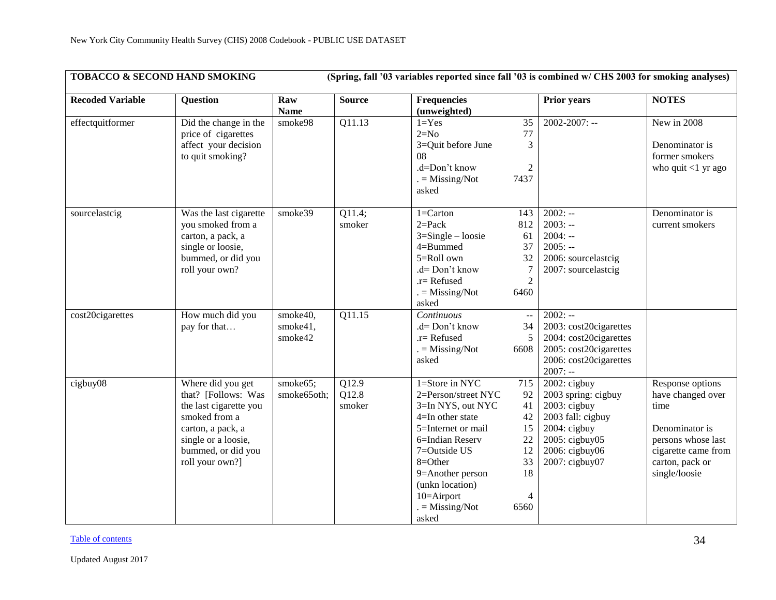| TOBACCO & SECOND HAND SMOKING |                                                                                                                                                                          |                                 |                                       | (Spring, fall '03 variables reported since fall '03 is combined w/ CHS 2003 for smoking analyses)                                                                                                                                                   |                                                                  |                                                                                                                                                         |                                                                                                                                                  |
|-------------------------------|--------------------------------------------------------------------------------------------------------------------------------------------------------------------------|---------------------------------|---------------------------------------|-----------------------------------------------------------------------------------------------------------------------------------------------------------------------------------------------------------------------------------------------------|------------------------------------------------------------------|---------------------------------------------------------------------------------------------------------------------------------------------------------|--------------------------------------------------------------------------------------------------------------------------------------------------|
| <b>Recoded Variable</b>       | <b>Question</b>                                                                                                                                                          | Raw<br><b>Name</b>              | <b>Source</b>                         | <b>Frequencies</b><br>(unweighted)                                                                                                                                                                                                                  |                                                                  | <b>Prior years</b>                                                                                                                                      | <b>NOTES</b>                                                                                                                                     |
| effectquitformer              | Did the change in the<br>price of cigarettes<br>affect your decision<br>to quit smoking?                                                                                 | smoke98                         | Q11.13                                | $1 = Yes$<br>$2=N0$<br>3=Quit before June<br>08<br>.d=Don't know<br>$=$ Missing/Not<br>asked                                                                                                                                                        | 35<br>77<br>3<br>2<br>7437                                       | $2002 - 2007$ : --                                                                                                                                      | New in 2008<br>Denominator is<br>former smokers<br>who quit $<$ 1 yr ago                                                                         |
| sourcelastcig                 | Was the last cigarette<br>you smoked from a<br>carton, a pack, a<br>single or loosie,<br>bummed, or did you<br>roll your own?                                            | smoke39                         | Q11.4;<br>smoker                      | $1 =$ Carton<br>$2 = Pack$<br>$3 =$ Single – loosie<br>4=Bummed<br>5=Roll own<br>.d= Don't know<br>.r= Refused<br>$=$ Missing/Not<br>asked                                                                                                          | 143<br>812<br>61<br>37<br>32<br>7<br>$\overline{2}$<br>6460      | $2002: -$<br>$2003: -$<br>$2004: -$<br>$2005: -$<br>2006: sourcelastcig<br>2007: sourcelastcig                                                          | Denominator is<br>current smokers                                                                                                                |
| cost20cigarettes              | How much did you<br>pay for that                                                                                                                                         | smoke40,<br>smoke41,<br>smoke42 | Q11.15                                | Continuous<br>.d= Don't know<br>.r= Refused<br>$=$ Missing/Not<br>asked                                                                                                                                                                             | $\sim$ $\sim$<br>34<br>5<br>6608                                 | $2002: -$<br>2003: cost20cigarettes<br>2004: cost20cigarettes<br>2005: cost20cigarettes<br>2006: cost20cigarettes<br>$2007: -$                          |                                                                                                                                                  |
| cigbuy08                      | Where did you get<br>that? [Follows: Was<br>the last cigarette you<br>smoked from a<br>carton, a pack, a<br>single or a loosie,<br>bummed, or did you<br>roll your own?] | smoke65;<br>smoke65oth;         | $\overline{Q12.9}$<br>Q12.8<br>smoker | $1 =$ Store in NYC<br>2=Person/street NYC<br>3=In NYS, out NYC<br>$4=$ In other state<br>5=Internet or mail<br>6=Indian Reserv<br>7=Outside US<br>8=Other<br>9=Another person<br>(unkn location)<br>10=Airport<br>$. = \text{Missing/Not}$<br>asked | 715<br>92<br>41<br>42<br>15<br>22<br>12<br>33<br>18<br>4<br>6560 | $2002$ : cigbuy<br>2003 spring: cigbuy<br>$2003$ : cigbuy<br>2003 fall: cigbuy<br>$2004$ : cigbuy<br>2005: cigbuy05<br>2006: cigbuy06<br>2007: cigbuy07 | Response options<br>have changed over<br>time<br>Denominator is<br>persons whose last<br>cigarette came from<br>carton, pack or<br>single/loosie |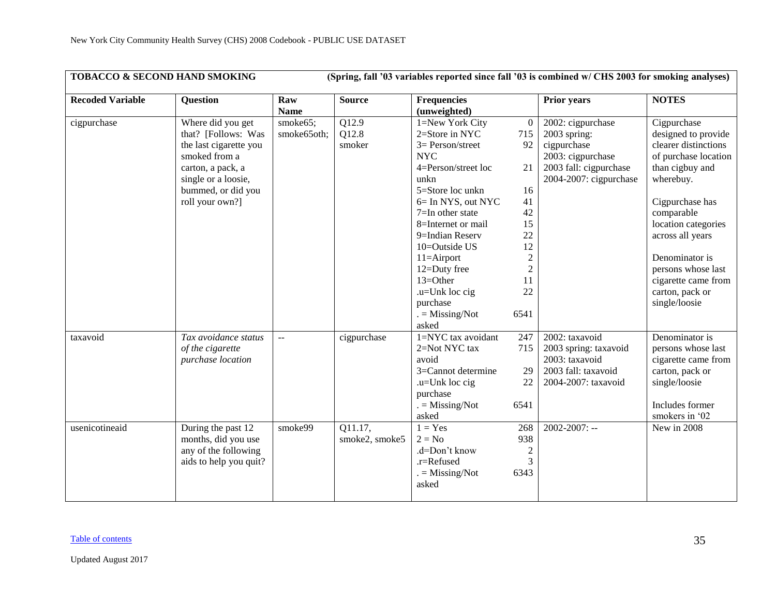| TOBACCO & SECOND HAND SMOKING |                                                                                                                                                                          |                                    |                          |                                                                                                                                                                                                                                                                                                                                                 |                                                                                                                         | (Spring, fall '03 variables reported since fall '03 is combined w/ CHS 2003 for smoking analyses)                             |                                                                                                                                                                                                                                                                                                   |
|-------------------------------|--------------------------------------------------------------------------------------------------------------------------------------------------------------------------|------------------------------------|--------------------------|-------------------------------------------------------------------------------------------------------------------------------------------------------------------------------------------------------------------------------------------------------------------------------------------------------------------------------------------------|-------------------------------------------------------------------------------------------------------------------------|-------------------------------------------------------------------------------------------------------------------------------|---------------------------------------------------------------------------------------------------------------------------------------------------------------------------------------------------------------------------------------------------------------------------------------------------|
| <b>Recoded Variable</b>       | <b>Question</b>                                                                                                                                                          | Raw<br><b>Name</b>                 | <b>Source</b>            | <b>Frequencies</b><br>(unweighted)                                                                                                                                                                                                                                                                                                              |                                                                                                                         | <b>Prior years</b>                                                                                                            | <b>NOTES</b>                                                                                                                                                                                                                                                                                      |
| cigpurchase                   | Where did you get<br>that? [Follows: Was<br>the last cigarette you<br>smoked from a<br>carton, a pack, a<br>single or a loosie,<br>bummed, or did you<br>roll your own?] | smoke65;<br>smoke65oth;            | Q12.9<br>Q12.8<br>smoker | 1=New York City<br>2=Store in NYC<br>$3 = Person/street$<br><b>NYC</b><br>4=Person/street loc<br>unkn<br>5=Store loc unkn<br>6= In NYS, out NYC<br>$7=$ In other state<br>8=Internet or mail<br>9=Indian Reserv<br>10=Outside US<br>$11 =$ Airport<br>12=Duty free<br>$13 = Other$<br>$.u=$ Unk loc cig<br>purchase<br>$= Missing/Not$<br>asked | $\theta$<br>715<br>92<br>21<br>16<br>41<br>42<br>15<br>22<br>12<br>$\mathfrak{2}$<br>$\mathfrak{2}$<br>11<br>22<br>6541 | 2002: cigpurchase<br>$2003$ spring:<br>cigpurchase<br>2003: cigpurchase<br>2003 fall: cigpurchase<br>2004-2007: cigpurchase   | Cigpurchase<br>designed to provide<br>clearer distinctions<br>of purchase location<br>than cigbuy and<br>wherebuy.<br>Cigpurchase has<br>comparable<br>location categories<br>across all years<br>Denominator is<br>persons whose last<br>cigarette came from<br>carton, pack or<br>single/loosie |
| taxavoid<br>usenicotineaid    | Tax avoidance status<br>of the cigarette<br>purchase location<br>During the past 12                                                                                      | $\mathbb{L} \mathbb{L}$<br>smoke99 | cigpurchase<br>Q11.17,   | 1=NYC tax avoidant<br>2=Not NYC tax<br>avoid<br>3=Cannot determine<br>$.u=Unk$ loc cig<br>purchase<br>$. = \text{Missing/Not}$<br>asked<br>$1 = Yes$                                                                                                                                                                                            | 247<br>715<br>29<br>22<br>6541<br>268                                                                                   | 2002: taxavoid<br>2003 spring: taxavoid<br>2003: taxavoid<br>2003 fall: taxavoid<br>2004-2007: taxavoid<br>$2002 - 2007$ : -- | Denominator is<br>persons whose last<br>cigarette came from<br>carton, pack or<br>single/loosie<br>Includes former<br>smokers in '02<br>New in 2008                                                                                                                                               |
|                               | months, did you use<br>any of the following<br>aids to help you quit?                                                                                                    |                                    | smoke2, smoke5           | $2 = No$<br>.d=Don't know<br>.r=Refused<br>$. = \text{Missing/Not}$<br>asked                                                                                                                                                                                                                                                                    | 938<br>$\overline{2}$<br>3<br>6343                                                                                      |                                                                                                                               |                                                                                                                                                                                                                                                                                                   |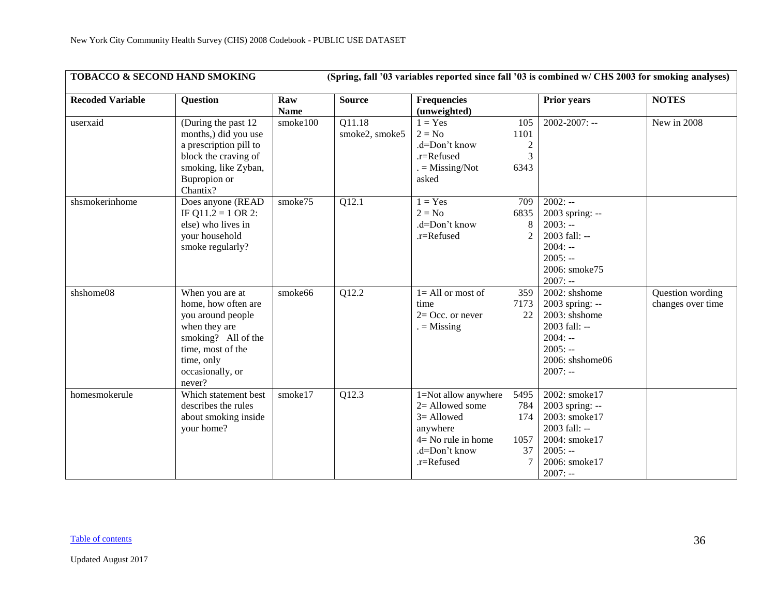| TOBACCO & SECOND HAND SMOKING |                                                                                                                                                                      |                    |                          |                                                                                                                                |                                            | (Spring, fall '03 variables reported since fall '03 is combined w/ CHS 2003 for smoking analyses)                              |                                       |
|-------------------------------|----------------------------------------------------------------------------------------------------------------------------------------------------------------------|--------------------|--------------------------|--------------------------------------------------------------------------------------------------------------------------------|--------------------------------------------|--------------------------------------------------------------------------------------------------------------------------------|---------------------------------------|
| <b>Recoded Variable</b>       | <b>Question</b>                                                                                                                                                      | Raw<br><b>Name</b> | <b>Source</b>            | <b>Frequencies</b><br>(unweighted)                                                                                             |                                            | <b>Prior</b> years                                                                                                             | <b>NOTES</b>                          |
| userxaid                      | (During the past 12)<br>months,) did you use<br>a prescription pill to<br>block the craving of<br>smoking, like Zyban,<br>Bupropion or<br>Chantix?                   | smoke100           | Q11.18<br>smoke2, smoke5 | $1 = Yes$<br>$2 = No$<br>.d=Don't know<br>.r=Refused<br>$. = \text{Missing/Not}$<br>asked                                      | 105<br>1101<br>$\overline{c}$<br>3<br>6343 | $2002 - 2007$ : --                                                                                                             | New in 2008                           |
| shsmokerinhome                | Does anyone (READ<br>IF Q11.2 = 1 OR 2:<br>else) who lives in<br>your household<br>smoke regularly?                                                                  | smoke75            | Q12.1                    | $1 = Yes$<br>$2 = No$<br>.d=Don't know<br>.r=Refused                                                                           | 709<br>6835<br>8<br>$\overline{2}$         | $2002: -$<br>2003 spring: --<br>$2003: -$<br>2003 fall: --<br>$2004: -$<br>$2005: -$<br>2006: smoke75<br>$2007: -$             |                                       |
| shshome08                     | When you are at<br>home, how often are<br>you around people<br>when they are<br>smoking? All of the<br>time, most of the<br>time, only<br>occasionally, or<br>never? | smoke66            | Q12.2                    | $\overline{1}$ All or most of<br>time<br>$2=$ Occ. or never<br>$=$ Missing                                                     | 359<br>7173<br>22                          | 2002: shshome<br>2003 spring: --<br>2003: shshome<br>2003 fall: --<br>$2004: -$<br>$2005: -$<br>2006: shshome06<br>$2007: -$   | Question wording<br>changes over time |
| homesmokerule                 | Which statement best<br>describes the rules<br>about smoking inside<br>your home?                                                                                    | smoke17            | Q12.3                    | 1=Not allow anywhere<br>$2=$ Allowed some<br>$3 =$ Allowed<br>anywhere<br>$4 = No$ rule in home<br>.d=Don't know<br>.r=Refused | 5495<br>784<br>174<br>1057<br>37<br>7      | 2002: smoke17<br>2003 spring: --<br>2003: smoke17<br>2003 fall: --<br>2004: smoke17<br>$2005: -$<br>2006: smoke17<br>$2007: -$ |                                       |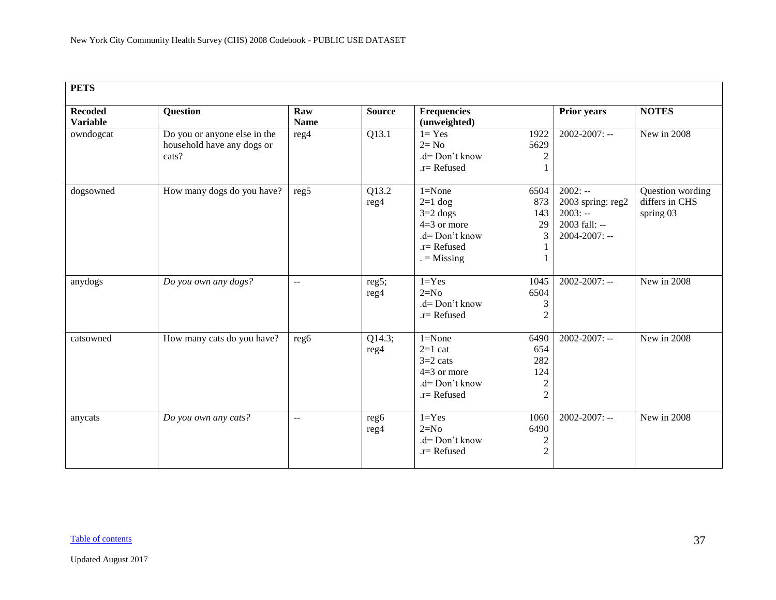<span id="page-36-0"></span>

| <b>PETS</b>                       |                                                                     |                         |                |                                                                                                                   |                                                                                                             |                                                 |  |  |  |  |
|-----------------------------------|---------------------------------------------------------------------|-------------------------|----------------|-------------------------------------------------------------------------------------------------------------------|-------------------------------------------------------------------------------------------------------------|-------------------------------------------------|--|--|--|--|
| <b>Recoded</b><br><b>Variable</b> | <b>Question</b>                                                     | Raw<br><b>Name</b>      | <b>Source</b>  | <b>Frequencies</b><br>(unweighted)                                                                                | <b>Prior years</b>                                                                                          | <b>NOTES</b>                                    |  |  |  |  |
| owndogcat                         | Do you or anyone else in the<br>household have any dogs or<br>cats? | reg4                    | Q13.1          | $l = Yes$<br>1922<br>$2 = No$<br>5629<br>$d = Don't know$<br>$.r =$ Refused                                       | $2002 - 2007$ : --<br>$\overline{c}$                                                                        | New in 2008                                     |  |  |  |  |
| dogsowned                         | How many dogs do you have?                                          | reg5                    | Q13.2<br>reg4  | $1 = None$<br>6504<br>$2=1$ dog<br>$3=2$ dogs<br>$4=3$ or more<br>.d= Don't know<br>$.r =$ Refused<br>$=$ Missing | $2002: -$<br>2003 spring: reg2<br>873<br>$2003: -$<br>143<br>2003 fall: --<br>29<br>3<br>$2004 - 2007$ : -- | Question wording<br>differs in CHS<br>spring 03 |  |  |  |  |
| anydogs                           | Do you own any dogs?                                                | $\mathbb{L} \mathbb{L}$ | reg5;<br>reg4  | $1 = Yes$<br>1045<br>$2=N0$<br>6504<br>$d = Don't know$<br>$.r =$ Refused                                         | $2002 - 2007$ : --<br>$\mathfrak{Z}$<br>$\overline{2}$                                                      | New in 2008                                     |  |  |  |  |
| catsowned                         | How many cats do you have?                                          | reg6                    | Q14.3;<br>reg4 | $1 = None$<br>6490<br>$2=1$ cat<br>$3=2$ cats<br>$4=3$ or more<br>$d = Don't know$<br>$.r =$ Refused              | $2002 - 2007$ : --<br>654<br>282<br>124<br>2<br>$\overline{2}$                                              | New in 2008                                     |  |  |  |  |
| anycats                           | Do you own any cats?                                                | $\overline{a}$          | reg6<br>reg4   | $1 = Yes$<br>1060<br>$2=N0$<br>6490<br>$d = Don't know$<br>$.r =$ Refused                                         | $2002 - 2007$ : --<br>$\boldsymbol{2}$<br>$\overline{2}$                                                    | New in 2008                                     |  |  |  |  |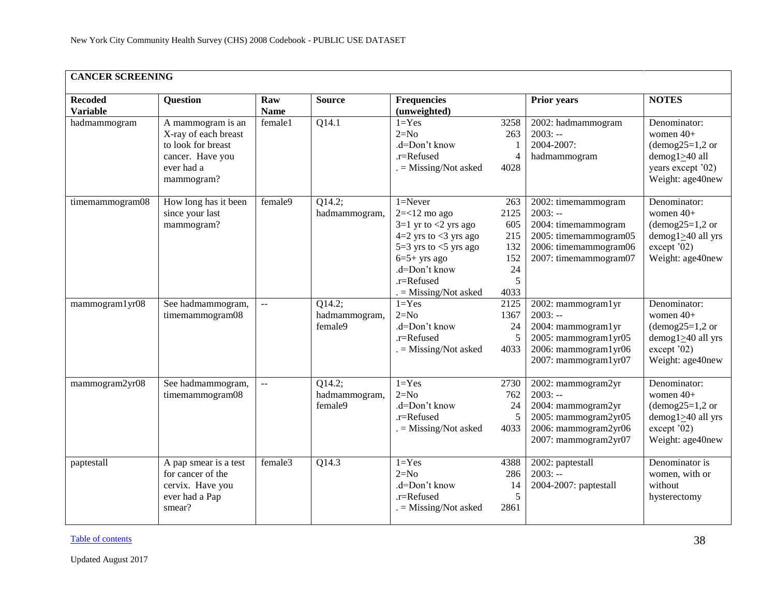<span id="page-37-0"></span>

| <b>CANCER SCREENING</b>           |                                                                                                                 |                    |                                    |                                                                                                                                                                                                |                                                            |                                                                                                                                    |                                                                                                                              |  |  |
|-----------------------------------|-----------------------------------------------------------------------------------------------------------------|--------------------|------------------------------------|------------------------------------------------------------------------------------------------------------------------------------------------------------------------------------------------|------------------------------------------------------------|------------------------------------------------------------------------------------------------------------------------------------|------------------------------------------------------------------------------------------------------------------------------|--|--|
| <b>Recoded</b><br><b>Variable</b> | Question                                                                                                        | Raw<br><b>Name</b> | <b>Source</b>                      | <b>Frequencies</b><br>(unweighted)                                                                                                                                                             |                                                            | Prior years                                                                                                                        | <b>NOTES</b>                                                                                                                 |  |  |
| hadmammogram                      | A mammogram is an<br>X-ray of each breast<br>to look for breast<br>cancer. Have you<br>ever had a<br>mammogram? | female1            | Q14.1                              | $1 = Yes$<br>$2=N0$<br>.d=Don't know<br>.r=Refused<br>$. =$ Missing/Not asked                                                                                                                  | 3258<br>263<br>1<br>$\overline{4}$<br>4028                 | 2002: hadmammogram<br>$2003: -$<br>2004-2007:<br>hadmammogram                                                                      | Denominator:<br>women 40+<br>$(demog25=1,2 \text{ or }$<br>$d$ emog $1 \geq 40$ all<br>years except '02)<br>Weight: age40new |  |  |
| timemammogram08                   | How long has it been<br>since your last<br>mammogram?                                                           | female9            | Q14.2;<br>hadmammogram,            | $1 =$ Never<br>$2 = < 12$ mo ago<br>$3=1$ yr to $<2$ yrs ago<br>$4=2$ yrs to <3 yrs ago<br>$5=3$ yrs to $<5$ yrs ago<br>$6=5+$ yrs ago<br>.d=Don't know<br>.r=Refused<br>. = Missing/Not asked | 263<br>2125<br>605<br>215<br>132<br>152<br>24<br>5<br>4033 | 2002: timemammogram<br>$2003: -$<br>2004: timemammogram<br>2005: timemammogram05<br>2006: timemammogram06<br>2007: timemammogram07 | Denominator:<br>women 40+<br>$(demog25=1,2 \text{ or }$<br>demog $1 \geq 40$ all yrs<br>except '02)<br>Weight: age40new      |  |  |
| mammogram1yr08                    | See hadmammogram,<br>timemammogram08                                                                            | $\bar{\omega}$     | Q14.2;<br>hadmammogram,<br>female9 | $1 = Yes$<br>$2=N0$<br>.d=Don't know<br>.r=Refused<br>$=$ Missing/Not asked                                                                                                                    | 2125<br>1367<br>24<br>5<br>4033                            | 2002: mammogram1yr<br>$2003: -$<br>2004: mammogram1yr<br>2005: mammogram1yr05<br>2006: mammogram1yr06<br>2007: mammogram1yr07      | Denominator:<br>women 40+<br>$(demog25=1,2 \text{ or }$<br>demog $1 \geq 40$ all yrs<br>except '02)<br>Weight: age40new      |  |  |
| mammogram2yr08                    | See hadmammogram,<br>timemammogram08                                                                            | $\ddotsc$          | Q14.2;<br>hadmammogram,<br>female9 | $1 = Yes$<br>$2=N0$<br>.d=Don't know<br>.r=Refused<br>$=$ Missing/Not asked                                                                                                                    | 2730<br>762<br>24<br>5<br>4033                             | 2002: mammogram2yr<br>$2003: -$<br>2004: mammogram2yr<br>2005: mammogram2yr05<br>2006: mammogram2yr06<br>2007: mammogram2yr07      | Denominator:<br>women 40+<br>$(demog25=1,2 \text{ or }$<br>demog $1 \geq 40$ all yrs<br>except '02)<br>Weight: age40new      |  |  |
| paptestall                        | A pap smear is a test<br>for cancer of the<br>cervix. Have you<br>ever had a Pap<br>smear?                      | female3            | Q14.3                              | $1 = Yes$<br>$2=N0$<br>.d=Don't know<br>.r=Refused<br>$=$ Missing/Not asked                                                                                                                    | 4388<br>286<br>14<br>5<br>2861                             | 2002: paptestall<br>$2003: -$<br>2004-2007: paptestall                                                                             | Denominator is<br>women, with or<br>without<br>hysterectomy                                                                  |  |  |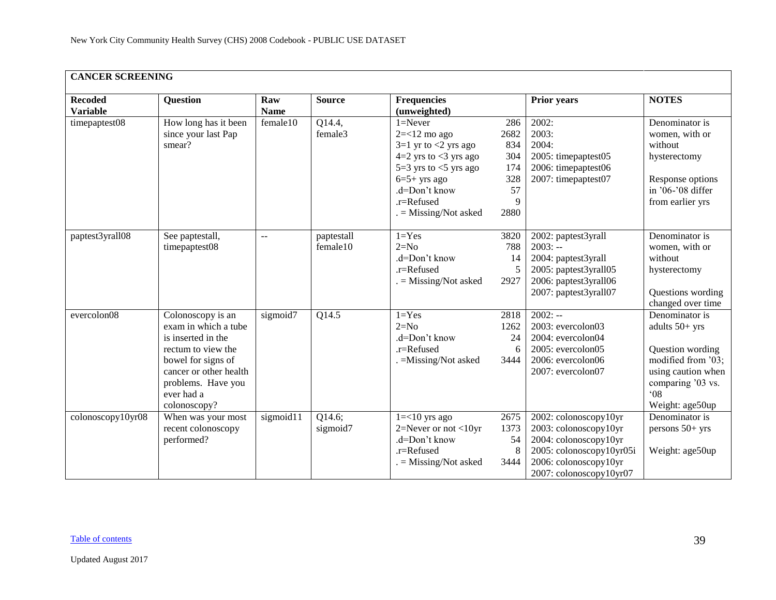| <b>CANCER SCREENING</b>           |                                                                                                                                                                                           |                    |                        |                                                                                                                                                                                                   |                                                            |                                                                                                                                                         |                                                                                                                                                          |  |  |  |
|-----------------------------------|-------------------------------------------------------------------------------------------------------------------------------------------------------------------------------------------|--------------------|------------------------|---------------------------------------------------------------------------------------------------------------------------------------------------------------------------------------------------|------------------------------------------------------------|---------------------------------------------------------------------------------------------------------------------------------------------------------|----------------------------------------------------------------------------------------------------------------------------------------------------------|--|--|--|
| <b>Recoded</b><br><b>Variable</b> | <b>Question</b>                                                                                                                                                                           | Raw<br><b>Name</b> | <b>Source</b>          | <b>Frequencies</b><br>(unweighted)                                                                                                                                                                |                                                            | <b>Prior years</b>                                                                                                                                      | <b>NOTES</b>                                                                                                                                             |  |  |  |
| timepaptest08                     | How long has it been<br>since your last Pap<br>smear?                                                                                                                                     | female10           | Q14.4,<br>female3      | $1 =$ Never<br>$2 = < 12$ mo ago<br>$3=1$ yr to $<$ 2 yrs ago<br>$4=2$ yrs to $<$ 3 yrs ago<br>5=3 yrs to $<$ 5 yrs ago<br>$6=5+$ yrs ago<br>.d=Don't know<br>.r=Refused<br>$=$ Missing/Not asked | 286<br>2682<br>834<br>304<br>174<br>328<br>57<br>9<br>2880 | 2002:<br>2003:<br>2004:<br>2005: timepaptest05<br>2006: timepaptest06<br>2007: timepaptest07                                                            | Denominator is<br>women, with or<br>without<br>hysterectomy<br>Response options<br>in '06-'08 differ<br>from earlier yrs                                 |  |  |  |
| paptest3yrall08                   | See paptestall,<br>timepaptest08                                                                                                                                                          | $\overline{a}$     | paptestall<br>female10 | $1 = Yes$<br>$2=N0$<br>.d=Don't know<br>.r=Refused<br>$=$ Missing/Not asked                                                                                                                       | 3820<br>788<br>14<br>2927                                  | 2002: paptest3yrall<br>$2003: -$<br>2004: paptest3yrall<br>2005: paptest3yrall05<br>2006: paptest3yrall06<br>2007: paptest3yrall07                      | Denominator is<br>women, with or<br>without<br>hysterectomy<br>Questions wording<br>changed over time                                                    |  |  |  |
| evercolon $\overline{08}$         | Colonoscopy is an<br>exam in which a tube<br>is inserted in the<br>rectum to view the<br>bowel for signs of<br>cancer or other health<br>problems. Have you<br>ever had a<br>colonoscopy? | sigmoid7           | Q14.5                  | $1 = Yes$<br>$2=N0$<br>.d=Don't know<br>.r=Refused<br>. = Missing/Not asked                                                                                                                       | 2818<br>1262<br>24<br>6<br>3444                            | $2002: -$<br>2003: evercolon03<br>2004: evercolon04<br>2005: evercolon05<br>2006: evercolon06<br>2007: evercolon07                                      | Denominator is<br>adults 50+ yrs<br>Question wording<br>modified from '03;<br>using caution when<br>comparing '03 vs.<br>$^{\circ}08$<br>Weight: age50up |  |  |  |
| colonoscopy10yr08                 | When was your most<br>recent colonoscopy<br>performed?                                                                                                                                    | sigmoid11          | Q14.6;<br>sigmoid7     | $1 = < 10$ yrs ago<br>2=Never or not $<$ 10yr<br>.d=Don't know<br>.r=Refused<br>$=$ Missing/Not asked                                                                                             | 2675<br>1373<br>54<br>8<br>3444                            | 2002: colonoscopy10yr<br>2003: colonoscopy10yr<br>2004: colonoscopy10yr<br>2005: colonoscopy10yr05i<br>2006: colonoscopy10yr<br>2007: colonoscopy10yr07 | Denominator is<br>persons 50+ yrs<br>Weight: age50up                                                                                                     |  |  |  |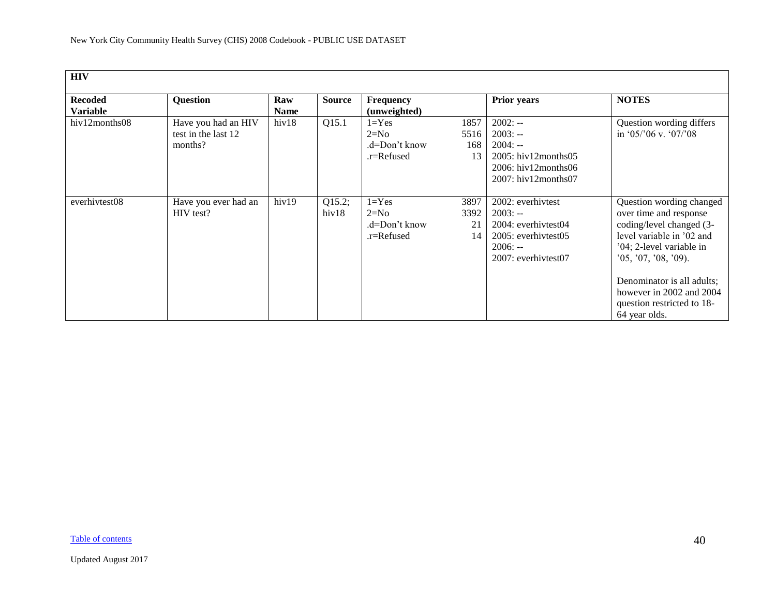<span id="page-39-0"></span>

| <b>HIV</b>                        |                                                       |                    |                 |                                                    |                           |                                                                                                                                     |                                                                                                                                                                                                                                                                          |
|-----------------------------------|-------------------------------------------------------|--------------------|-----------------|----------------------------------------------------|---------------------------|-------------------------------------------------------------------------------------------------------------------------------------|--------------------------------------------------------------------------------------------------------------------------------------------------------------------------------------------------------------------------------------------------------------------------|
| <b>Recoded</b><br><b>Variable</b> | Question                                              | Raw<br><b>Name</b> | <b>Source</b>   | <b>Frequency</b><br>(unweighted)                   |                           | <b>Prior years</b>                                                                                                                  | <b>NOTES</b>                                                                                                                                                                                                                                                             |
| hiv12months08                     | Have you had an HIV<br>test in the last 12<br>months? | hiv18              | Q15.1           | $1 = Yes$<br>$2=N0$<br>.d=Don't know<br>.r=Refused | 1857<br>5516<br>168<br>13 | $2002: -$<br>$2003: -$<br>$2004: -$<br>$2005$ : hiv $12$ months $05$<br>$2006$ : hiv $12$ months $06$<br>$2007$ : hiv $12$ months07 | Question wording differs<br>in '05/'06 v. '07/'08                                                                                                                                                                                                                        |
| everhivtest08                     | Have you ever had an<br>HIV test?                     | hiv19              | Q15.2;<br>hiv18 | $1 = Yes$<br>$2=N0$<br>.d=Don't know<br>.r=Refused | 3897<br>3392<br>21<br>14  | 2002: everhivtest<br>$2003: -$<br>2004: everhivtest04<br>2005: everhivtest05<br>$2006: -$<br>2007: everhivtest07                    | Question wording changed<br>over time and response<br>coding/level changed (3-<br>level variable in '02 and<br>'04; 2-level variable in<br>'05, '07, '08, '09).<br>Denominator is all adults;<br>however in 2002 and 2004<br>question restricted to 18-<br>64 year olds. |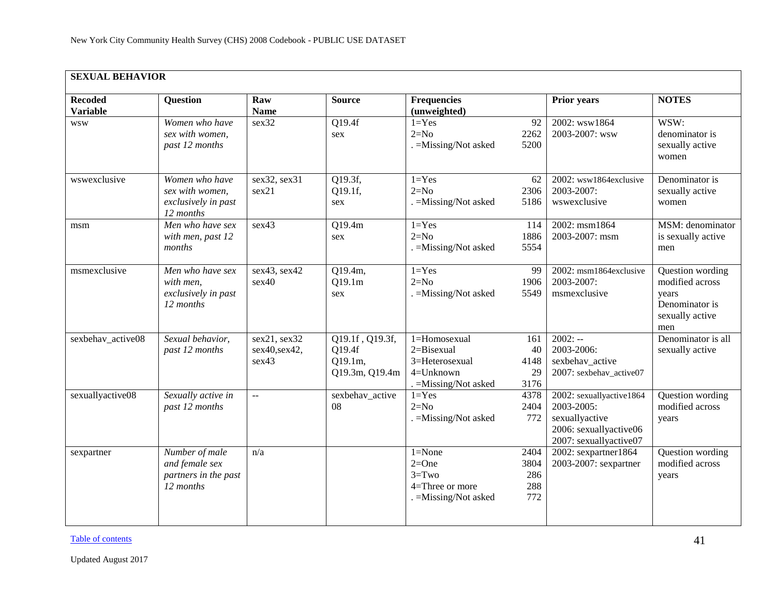<span id="page-40-0"></span>

|                                   | <b>SEXUAL BEHAVIOR</b>                                                |                                        |                                                        |                                                                                        |                                   |                                                                                                              |                                                                                          |  |  |  |
|-----------------------------------|-----------------------------------------------------------------------|----------------------------------------|--------------------------------------------------------|----------------------------------------------------------------------------------------|-----------------------------------|--------------------------------------------------------------------------------------------------------------|------------------------------------------------------------------------------------------|--|--|--|
| <b>Recoded</b><br><b>Variable</b> | <b>Question</b>                                                       | Raw<br><b>Name</b>                     | <b>Source</b>                                          | <b>Frequencies</b><br>(unweighted)                                                     |                                   | <b>Prior years</b>                                                                                           | <b>NOTES</b>                                                                             |  |  |  |
| <b>WSW</b>                        | Women who have<br>sex with women,<br>past 12 months                   | sex32                                  | Q19.4f<br>sex                                          | $1 = Yes$<br>$2=N0$<br>. = Missing/Not asked                                           | 92<br>2262<br>5200                | 2002: wsw1864<br>2003-2007: wsw                                                                              | WSW:<br>denominator is<br>sexually active<br>women                                       |  |  |  |
| wswexclusive                      | Women who have<br>sex with women,<br>exclusively in past<br>12 months | sex32, sex31<br>sex21                  | Q19.3f,<br>Q19.1f,<br>sex                              | $1 = Yes$<br>$2=N0$<br>. = Missing/Not asked                                           | 62<br>2306<br>5186                | 2002: wsw1864exclusive<br>2003-2007:<br>wswexclusive                                                         | Denominator is<br>sexually active<br>women                                               |  |  |  |
| msm                               | Men who have sex<br>with men, past 12<br>months                       | sex43                                  | Q19.4m<br>sex                                          | $1 = Yes$<br>$2=N0$<br>. = Missing/Not asked                                           | 114<br>1886<br>5554               | 2002: msm1864<br>2003-2007: msm                                                                              | MSM: denominator<br>is sexually active<br>men                                            |  |  |  |
| msmexclusive                      | Men who have sex<br>with men.<br>exclusively in past<br>12 months     | sex43, sex42<br>sex40                  | Q19.4m,<br>Q19.1m<br>sex                               | $1 = Yes$<br>$2=N0$<br>. = Missing/Not asked                                           | 99<br>1906<br>5549                | 2002: msm1864exclusive<br>2003-2007:<br>msmexclusive                                                         | Question wording<br>modified across<br>years<br>Denominator is<br>sexually active<br>men |  |  |  |
| sexbehav_active08                 | Sexual behavior,<br>past 12 months                                    | sex21, sex32<br>sex40, sex42,<br>sex43 | Q19.1f, Q19.3f,<br>Q19.4f<br>Q19.1m,<br>Q19.3m, Q19.4m | 1=Homosexual<br>$2 = Bisexual$<br>3=Heterosexual<br>4=Unknown<br>. = Missing/Not asked | 161<br>40<br>4148<br>29<br>3176   | $2002: -$<br>2003-2006:<br>sexbehav active<br>2007: sexbehav_active07                                        | Denominator is all<br>sexually active                                                    |  |  |  |
| sexuallyactive08                  | Sexually active in<br>past 12 months                                  | $\mathbb{L}^{\mathbb{L}}$              | sexbehav_active<br>08                                  | $1 = Yes$<br>$2=N0$<br>. = Missing/Not asked                                           | 4378<br>2404<br>772               | 2002: sexuallyactive1864<br>2003-2005:<br>sexuallyactive<br>2006: sexuallyactive06<br>2007: sexuallyactive07 | Question wording<br>modified across<br>years                                             |  |  |  |
| sexpartner                        | Number of male<br>and female sex<br>partners in the past<br>12 months | n/a                                    |                                                        | $1 = None$<br>$2=One$<br>$3 = Two$<br>4=Three or more<br>. = Missing/Not asked         | 2404<br>3804<br>286<br>288<br>772 | 2002: sexpartner1864<br>2003-2007: sexpartner                                                                | Question wording<br>modified across<br>years                                             |  |  |  |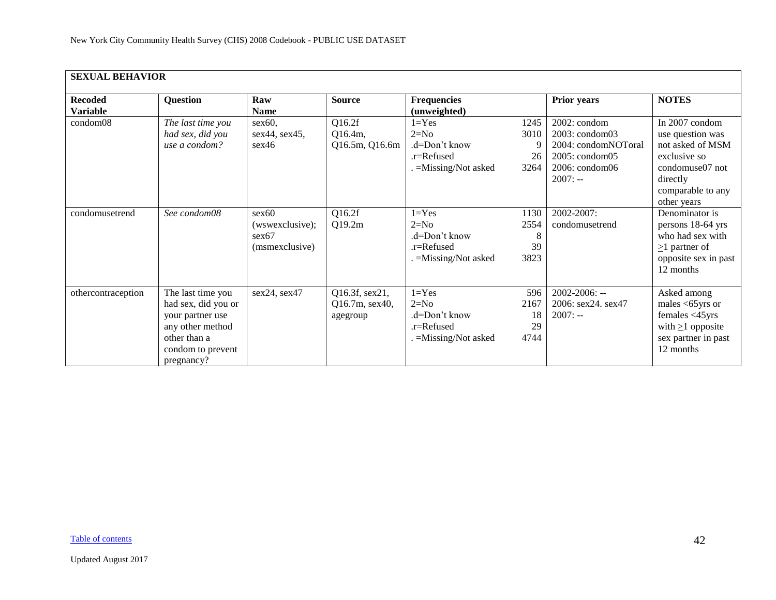| <b>SEXUAL BEHAVIOR</b> |                     |                 |                |                       |      |                         |                        |
|------------------------|---------------------|-----------------|----------------|-----------------------|------|-------------------------|------------------------|
|                        |                     |                 |                |                       |      |                         |                        |
| <b>Recoded</b>         | Question            | Raw             | <b>Source</b>  | <b>Frequencies</b>    |      | <b>Prior years</b>      | <b>NOTES</b>           |
| <b>Variable</b>        |                     | <b>Name</b>     |                | (unweighted)          |      |                         |                        |
| condom08               | The last time you   | $sex60$ ,       | Q16.2f         | $1 = Yes$             | 1245 | 2002: condom            | In 2007 condom         |
|                        | had sex, did you    | sex44, sex45,   | Q16.4m,        | $2=N0$                | 3010 | 2003: condom03          | use question was       |
|                        | use a condom?       | sex46           | Q16.5m, Q16.6m | .d=Don't know         | 9    | 2004: condomNOToral     | not asked of MSM       |
|                        |                     |                 |                | .r=Refused            | 26   | $2005:$ condom $05$     | exclusive so           |
|                        |                     |                 |                | . = Missing/Not asked | 3264 | $2006: \text{condom06}$ | condomuse07 not        |
|                        |                     |                 |                |                       |      | $2007: -$               | directly               |
|                        |                     |                 |                |                       |      |                         | comparable to any      |
|                        |                     |                 |                |                       |      |                         | other years            |
| condomusetrend         | See condom08        | sex60           | Q16.2f         | $1 = Yes$             | 1130 | 2002-2007:              | Denominator is         |
|                        |                     | (wswexclusive); | Q19.2m         | $2=N0$                | 2554 | condomusetrend          | persons 18-64 yrs      |
|                        |                     | sex67           |                | .d=Don't know         | 8    |                         | who had sex with       |
|                        |                     | (msmexclusive)  |                | $.r =$ Refused        | 39   |                         | $\geq$ 1 partner of    |
|                        |                     |                 |                | . = Missing/Not asked | 3823 |                         | opposite sex in past   |
|                        |                     |                 |                |                       |      |                         | 12 months              |
|                        |                     |                 |                |                       |      |                         |                        |
| othercontraception     | The last time you   | sex24, sex47    | Q16.3f, sex21, | $1 = Yes$             | 596  | $2002 - 2006$ : --      | Asked among            |
|                        | had sex, did you or |                 | Q16.7m, sex40, | $2=N0$                | 2167 | 2006: sex24. sex47      | males $<65$ yrs or     |
|                        | your partner use    |                 | agegroup       | .d=Don't know         | 18   | $2007: -$               | females <45yrs         |
|                        | any other method    |                 |                | .r=Refused            | 29   |                         | with $\geq 1$ opposite |
|                        | other than a        |                 |                | . = Missing/Not asked | 4744 |                         | sex partner in past    |
|                        | condom to prevent   |                 |                |                       |      |                         | 12 months              |
|                        | pregnancy?          |                 |                |                       |      |                         |                        |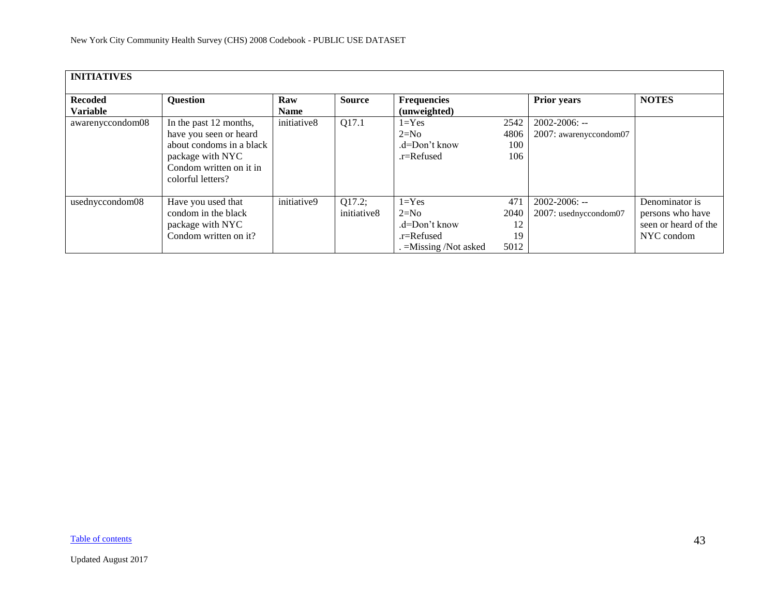<span id="page-42-0"></span>

| <b>INITIATIVES</b> |                          |             |               |                        |      |                        |                      |
|--------------------|--------------------------|-------------|---------------|------------------------|------|------------------------|----------------------|
|                    |                          |             |               |                        |      |                        |                      |
| <b>Recoded</b>     | <b>Question</b>          | Raw         | <b>Source</b> | <b>Frequencies</b>     |      | <b>Prior years</b>     | <b>NOTES</b>         |
| <b>Variable</b>    |                          | <b>Name</b> |               | (unweighted)           |      |                        |                      |
| awarenyccondom08   | In the past 12 months,   | initiative8 | Q17.1         | $1 = Yes$              | 2542 | 2002-2006: --          |                      |
|                    | have you seen or heard   |             |               | $2=N0$                 | 4806 | 2007: awarenyccondom07 |                      |
|                    | about condoms in a black |             |               | $d=Don't know$         | 100  |                        |                      |
|                    | package with NYC         |             |               | .r=Refused             | 106  |                        |                      |
|                    | Condom written on it in  |             |               |                        |      |                        |                      |
|                    | colorful letters?        |             |               |                        |      |                        |                      |
|                    |                          |             |               |                        |      |                        |                      |
| usednyccondom08    | Have you used that       | initiative9 | Q17.2;        | $1 = Yes$              | 471  | 2002-2006: --          | Denominator is       |
|                    | condom in the black      |             | initiative8   | $2=N0$                 | 2040 | 2007: usednyccondom07  | persons who have     |
|                    | package with NYC         |             |               | .d=Don't know          | 12   |                        | seen or heard of the |
|                    | Condom written on it?    |             |               | .r=Refused             | 19   |                        | NYC condom           |
|                    |                          |             |               | $=$ Missing /Not asked | 5012 |                        |                      |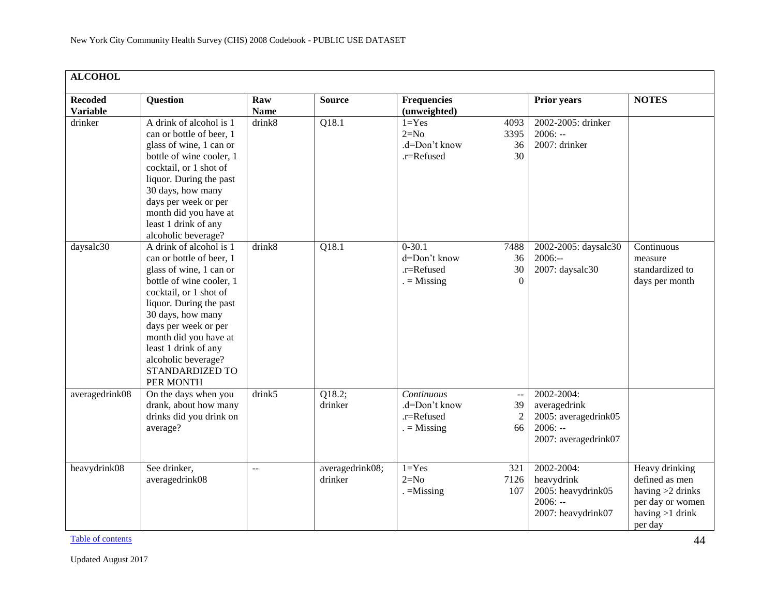<span id="page-43-0"></span>

| <b>ALCOHOL</b>                    |                                                                                                                                                                                                                                                                                                                      |                    |                            |                                                          |                                                                |                                                                                         |                                                                                                            |  |  |  |
|-----------------------------------|----------------------------------------------------------------------------------------------------------------------------------------------------------------------------------------------------------------------------------------------------------------------------------------------------------------------|--------------------|----------------------------|----------------------------------------------------------|----------------------------------------------------------------|-----------------------------------------------------------------------------------------|------------------------------------------------------------------------------------------------------------|--|--|--|
| <b>Recoded</b><br><b>Variable</b> | Question                                                                                                                                                                                                                                                                                                             | Raw<br><b>Name</b> | <b>Source</b>              | <b>Frequencies</b><br>(unweighted)                       |                                                                | <b>Prior years</b>                                                                      | <b>NOTES</b>                                                                                               |  |  |  |
| drinker                           | A drink of alcohol is 1<br>can or bottle of beer, 1<br>glass of wine, 1 can or<br>bottle of wine cooler, 1<br>cocktail, or 1 shot of<br>liquor. During the past<br>30 days, how many<br>days per week or per<br>month did you have at<br>least 1 drink of any<br>alcoholic beverage?                                 | drink8             | Q18.1                      | $1 = Yes$<br>$2=N0$<br>.d=Don't know<br>.r=Refused       | 4093<br>3395<br>36<br>30                                       | 2002-2005: drinker<br>$2006: -$<br>2007: drinker                                        |                                                                                                            |  |  |  |
| daysalc30                         | A drink of alcohol is 1<br>can or bottle of beer, 1<br>glass of wine, 1 can or<br>bottle of wine cooler, 1<br>cocktail, or 1 shot of<br>liquor. During the past<br>30 days, how many<br>days per week or per<br>month did you have at<br>least 1 drink of any<br>alcoholic beverage?<br>STANDARDIZED TO<br>PER MONTH | drink8             | Q18.1                      | $0-30.1$<br>d=Don't know<br>.r=Refused<br>$=$ Missing    | 7488<br>36<br>30<br>$\Omega$                                   | 2002-2005: daysalc30<br>$2006: -$<br>2007: daysalc30                                    | Continuous<br>measure<br>standardized to<br>days per month                                                 |  |  |  |
| averagedrink08                    | On the days when you<br>drank, about how many<br>drinks did you drink on<br>average?                                                                                                                                                                                                                                 | drink5             | Q18.2;<br>drinker          | Continuous<br>.d=Don't know<br>.r=Refused<br>$=$ Missing | $\mathord{\hspace{1pt}\text{--}\hspace{1pt}}$<br>39<br>2<br>66 | 2002-2004:<br>averagedrink<br>2005: averagedrink05<br>$2006: -$<br>2007: averagedrink07 |                                                                                                            |  |  |  |
| heavydrink08                      | See drinker,<br>averagedrink08                                                                                                                                                                                                                                                                                       | $\overline{a}$     | averagedrink08;<br>drinker | $1 = Yes$<br>$2=N0$<br>$. =$ Missing                     | 321<br>7126<br>107                                             | 2002-2004:<br>heavydrink<br>2005: heavydrink05<br>$2006: -$<br>2007: heavydrink07       | Heavy drinking<br>defined as men<br>having $>2$ drinks<br>per day or women<br>having $>1$ drink<br>per day |  |  |  |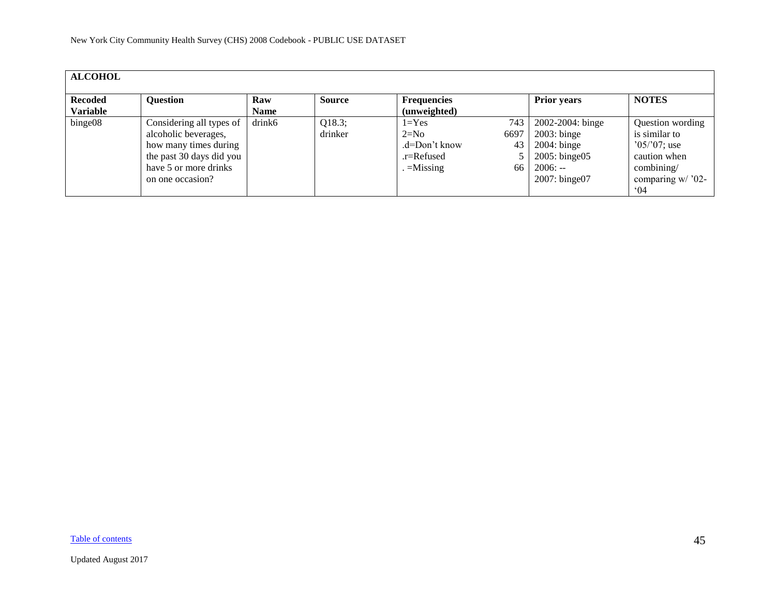| <b>ALCOHOL</b>                    |                                                                                                                                                    |                    |                   |                                                                        |                         |                                                                                                                 |                                                                                                                         |
|-----------------------------------|----------------------------------------------------------------------------------------------------------------------------------------------------|--------------------|-------------------|------------------------------------------------------------------------|-------------------------|-----------------------------------------------------------------------------------------------------------------|-------------------------------------------------------------------------------------------------------------------------|
| <b>Recoded</b><br><b>Variable</b> | <b>Question</b>                                                                                                                                    | Raw<br><b>Name</b> | <b>Source</b>     | <b>Frequencies</b><br>(unweighted)                                     |                         | <b>Prior years</b>                                                                                              | <b>NOTES</b>                                                                                                            |
| binge08                           | Considering all types of<br>alcoholic beverages,<br>how many times during<br>the past 30 days did you<br>have 5 or more drinks<br>on one occasion? | drink6             | Q18.3;<br>drinker | $1 = Yes$<br>$2=N0$<br>$d=Don't know$<br>$.r =$ Refused<br>$=$ Missing | 743<br>6697<br>43<br>66 | 2002-2004: binge<br>$2003$ : binge<br>$2004$ : binge<br>$2005$ : binge $05$<br>$2006: -$<br>$2007$ : binge $07$ | Question wording<br>is similar to<br>$05/07$ ; use<br>caution when<br>combining/<br>comparing $w/$ '02-<br>$^{\circ}04$ |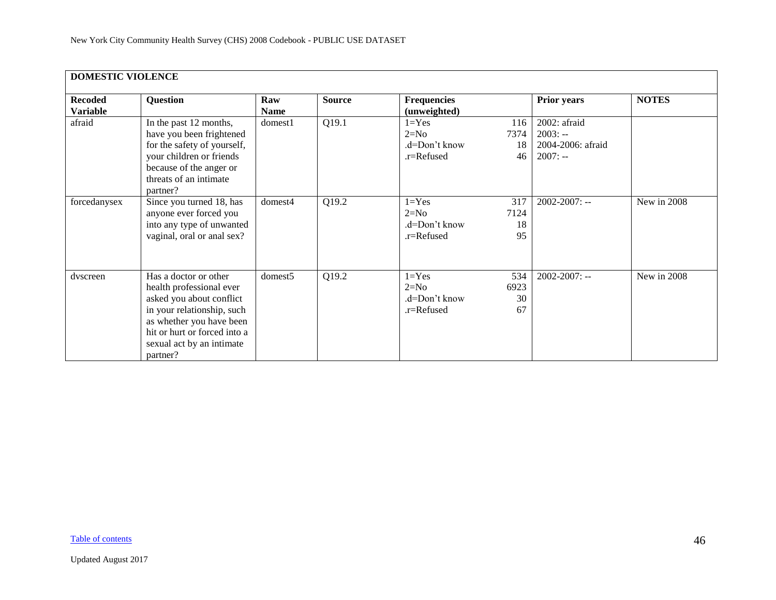<span id="page-45-0"></span>

| <b>DOMESTIC VIOLENCE</b>          |                                                                                                                                                                                                                  |                    |               |                                                    |                         |                                                             |              |
|-----------------------------------|------------------------------------------------------------------------------------------------------------------------------------------------------------------------------------------------------------------|--------------------|---------------|----------------------------------------------------|-------------------------|-------------------------------------------------------------|--------------|
| <b>Recoded</b><br><b>Variable</b> | Question                                                                                                                                                                                                         | Raw<br><b>Name</b> | <b>Source</b> | <b>Frequencies</b><br>(unweighted)                 |                         | <b>Prior years</b>                                          | <b>NOTES</b> |
| afraid                            | In the past 12 months,<br>have you been frightened<br>for the safety of yourself,<br>your children or friends<br>because of the anger or<br>threats of an intimate<br>partner?                                   | domest1            | Q19.1         | $1 = Yes$<br>$2=N0$<br>.d=Don't know<br>.r=Refused | 116<br>7374<br>18<br>46 | 2002: afraid<br>$2003: -$<br>2004-2006: afraid<br>$2007: -$ |              |
| forcedanysex                      | Since you turned 18, has<br>anyone ever forced you<br>into any type of unwanted<br>vaginal, oral or anal sex?                                                                                                    | domest4            | Q19.2         | $1 = Yes$<br>$2=N0$<br>.d=Don't know<br>.r=Refused | 317<br>7124<br>18<br>95 | $2002 - 2007$ : --                                          | New in 2008  |
| dvscreen                          | Has a doctor or other<br>health professional ever<br>asked you about conflict<br>in your relationship, such<br>as whether you have been<br>hit or hurt or forced into a<br>sexual act by an intimate<br>partner? | domest5            | Q19.2         | $1 = Yes$<br>$2=N0$<br>.d=Don't know<br>.r=Refused | 534<br>6923<br>30<br>67 | $2002 - 2007$ : --                                          | New in 2008  |